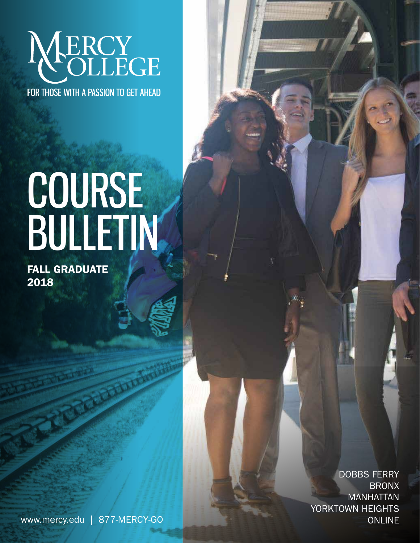# NERCY FOR THOSE WITH A PASSION TO GET AHEAD

# COURSE BULLETIN

FALL GRADUATE 2018

> DOBBS FERRY BRONX MANHATTAN YORKTOWN HEIGHTS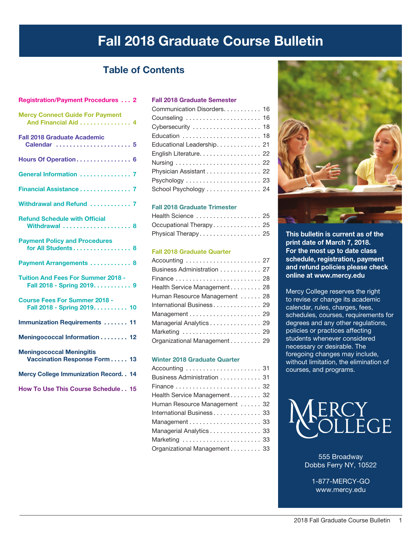## Fall 2018 Graduate Course Bulletin

## Table of Contents

## Registration/Payment Procedures. . . 2 Fall 2018 Graduate Semester Mercy Connect Guide For Payment

| Communication Disorders. 16 |
|-----------------------------|
| Counseling  16              |
| Cybersecurity  18           |
|                             |
| Educational Leadership. 21  |
| English Literature. 22      |
|                             |
| Physician Assistant 22      |
|                             |
| School Psychology 24        |

#### Fall 2018 Graduate Trimester

| Health Science  25      |  |
|-------------------------|--|
| Occupational Therapy 25 |  |
| Physical Therapy 25     |  |

#### Fall 2018 Graduate Quarter

| Business Administration 27    |  |
|-------------------------------|--|
|                               |  |
| Health Service Management 28  |  |
| Human Resource Management  28 |  |
| International Business 29     |  |
|                               |  |
| Managerial Analytics 29       |  |
| Marketing  29                 |  |
| Organizational Management 29  |  |

#### Winter 2018 Graduate Quarter

| Accounting  31                |  |
|-------------------------------|--|
| Business Administration 31    |  |
|                               |  |
| Health Service Management 32  |  |
| Human Resource Management  32 |  |
| International Business 33     |  |
|                               |  |
| Managerial Analytics 33       |  |
| Marketing  33                 |  |
| Organizational Management 33  |  |



This bulletin is current as of the print date of March 7, 2018. For the most up to date class schedule, registration, payment and refund policies please check online at www.mercy.edu

Mercy College reserves the right to revise or change its academic calendar, rules, charges, fees, schedules, courses, requirements for degrees and any other regulations, policies or practices affecting students whenever considered necessary or desirable. The foregoing changes may include, without limitation, the elimination of courses, and programs.



555 Broadway Dobbs Ferry NY, 10522

1-877-MERCY-GO www.mercy.edu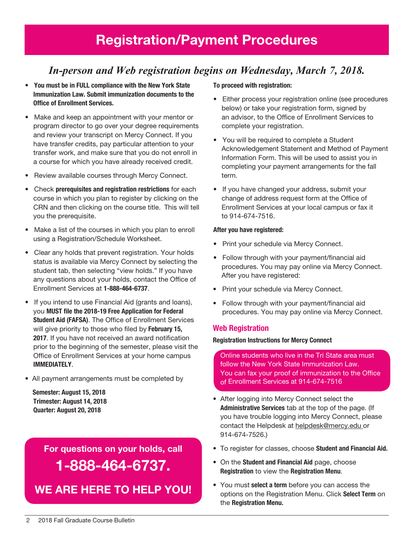## *In-person and Web registration begins on Wednesday, March 7, 2018.*

- You must be in FULL compliance with the New York State Immunization Law. Submit immunization documents to the Office of Enrollment Services.
- Make and keep an appointment with your mentor or program director to go over your degree requirements and review your transcript on Mercy Connect. If you have transfer credits, pay particular attention to your transfer work, and make sure that you do not enroll in a course for which you have already received credit.
- Review available courses through Mercy Connect.
- Check prerequisites and registration restrictions for each course in which you plan to register by clicking on the CRN and then clicking on the course title. This will tell you the prerequisite.
- Make a list of the courses in which you plan to enroll using a Registration/Schedule Worksheet.
- Clear any holds that prevent registration. Your holds status is available via Mercy Connect by selecting the student tab, then selecting "view holds." If you have any questions about your holds, contact the Office of Enrollment Services at 1-888-464-6737.
- If you intend to use Financial Aid (grants and loans), you MUST file the 2018-19 Free Application for Federal Student Aid (FAFSA). The Office of Enrollment Services will give priority to those who filed by February 15, 2017. If you have not received an award notification prior to the beginning of the semester, please visit the Office of Enrollment Services at your home campus IMMEDIATELY.
- All payment arrangements must be completed by

 Semester: August 15, 2018 Trimester: August 14, 2018 Quarter: August 20, 2018

> For questions on your holds, call 1-888-464-6737.

We are here to help You!

#### To proceed with registration:

- Either process your registration online (see procedures below) or take your registration form, signed by an advisor, to the Office of Enrollment Services to complete your registration.
- You will be required to complete a Student Acknowledgement Statement and Method of Payment Information Form. This will be used to assist you in completing your payment arrangements for the fall term.
- If you have changed your address, submit your change of address request form at the Office of Enrollment Services at your local campus or fax it to 914-674-7516.

#### After you have registered:

- Print your schedule via Mercy Connect.
- Follow through with your payment/financial aid procedures. You may pay online via Mercy Connect. After you have registered:
- Print your schedule via Mercy Connect.
- Follow through with your payment/financial aid procedures. You may pay online via Mercy Connect.

#### Web Registration

#### Registration Instructions for Mercy Connect

Online students who live in the Tri State area must follow the New York State Immunization Law. You can fax your proof of immunization to the Office of Enrollment Services at 914-674-7516

- After logging into Mercy Connect select the Administrative Services tab at the top of the page. (If you have trouble logging into Mercy Connect, please contact the Helpdesk at helpdesk@mercy.edu or 914-674-7526.)
- To register for classes, choose Student and Financial Aid.
- On the Student and Financial Aid page, choose Registration to view the Registration Menu.
- You must select a term before you can access the options on the Registration Menu. Click Select Term on the Registration Menu.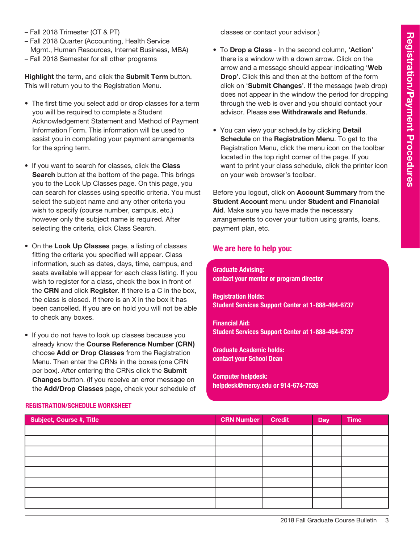- Fall 2018 Trimester (OT & PT)
- Fall 2018 Quarter (Accounting, Health Service Mgmt., Human Resources, Internet Business, MBA)
- Fall 2018 Semester for all other programs

Highlight the term, and click the Submit Term button. This will return you to the Registration Menu.

- The first time you select add or drop classes for a term you will be required to complete a Student Acknowledgement Statement and Method of Payment Information Form. This information will be used to assist you in completing your payment arrangements for the spring term.
- If you want to search for classes, click the Class Search button at the bottom of the page. This brings you to the Look Up Classes page. On this page, you can search for classes using specific criteria. You must select the subject name and any other criteria you wish to specify (course number, campus, etc.) however only the subject name is required. After selecting the criteria, click Class Search.
- On the Look Up Classes page, a listing of classes fitting the criteria you specified will appear. Class information, such as dates, days, time, campus, and seats available will appear for each class listing. If you wish to register for a class, check the box in front of the CRN and click Register. If there is a C in the box, the class is closed. If there is an X in the box it has been cancelled. If you are on hold you will not be able to check any boxes.
- If you do not have to look up classes because you already know the Course Reference Number (CRN) choose Add or Drop Classes from the Registration Menu. Then enter the CRNs in the boxes (one CRN per box). After entering the CRNs click the Submit Changes button. (If you receive an error message on the Add/Drop Classes page, check your schedule of

classes or contact your advisor.)

- To Drop a Class In the second column, 'Action' there is a window with a down arrow. Click on the arrow and a message should appear indicating 'Web Drop'. Click this and then at the bottom of the form click on 'Submit Changes'. If the message (web drop) does not appear in the window the period for dropping through the web is over and you should contact your advisor. Please see Withdrawals and Refunds.
- You can view your schedule by clicking **Detail** Schedule on the Registration Menu. To get to the Registration Menu, click the menu icon on the toolbar located in the top right corner of the page. If you want to print your class schedule, click the printer icon on your web browser's toolbar.

Before you logout, click on Account Summary from the Student Account menu under Student and Financial Aid. Make sure you have made the necessary arrangements to cover your tuition using grants, loans, payment plan, etc.

#### We are here to help you:

Graduate Advising: contact your mentor or program director

Registration Holds: Student Services Support Center at 1-888-464-6737

Financial Aid: Student Services Support Center at 1-888-464-6737

Graduate Academic holds: contact your School Dean

Computer helpdesk: helpdesk@mercy.edu or 914-674-7526

| <b>Subject, Course #, Title</b> | <b>CRN Number</b> | <b>Credit</b> | Day | <b>Time</b> |
|---------------------------------|-------------------|---------------|-----|-------------|
|                                 |                   |               |     |             |
|                                 |                   |               |     |             |
|                                 |                   |               |     |             |
|                                 |                   |               |     |             |
|                                 |                   |               |     |             |
|                                 |                   |               |     |             |
|                                 |                   |               |     |             |
|                                 |                   |               |     |             |

#### Registration/Schedule Worksheet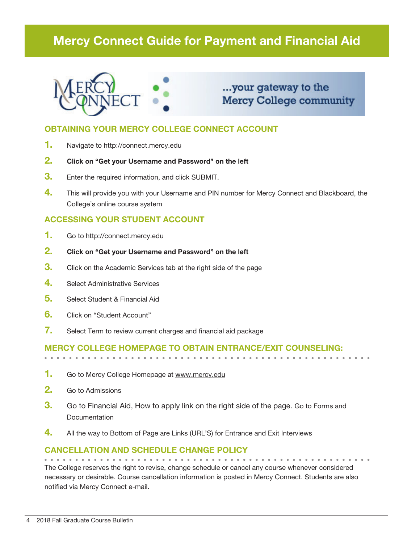## Mercy Connect Guide for Payment and Financial Aid



## ...your gateway to the **Mercy College community**

### OBTAINING YOUR MERCY COLLEGE CONNECT ACCOUNT

- 1. Navigate to http://connect.mercy.edu
- 2. Click on "Get your Username and Password" on the left
- **3.** Enter the required information, and click SUBMIT.
- 4. This will provide you with your Username and PIN number for Mercy Connect and Blackboard, the College's online course system

### ACCESSING YOUR STUDENT ACCOUNT

- 1. Go to http://connect.mercy.edu
- 2. Click on "Get your Username and Password" on the left
- **3.** Click on the Academic Services tab at the right side of the page
- 4. Select Administrative Services
- 5. Select Student & Financial Aid
- 6. Click on "Student Account"
- 7. Select Term to review current charges and financial aid package

### Mercy College homepage to obtain entrance/exit counseling:

- 1. Go to Mercy College Homepage at www.mercy.edu
- 2. Go to Admissions
- **3.** Go to Financial Aid, How to apply link on the right side of the page. Go to Forms and **Documentation**
- $\frac{4}{1}$  All the way to Bottom of Page are Links (URL'S) for Entrance and Exit Interviews

## Cancellation and Schedule Change Policy

The College reserves the right to revise, change schedule or cancel any course whenever considered necessary or desirable. Course cancellation information is posted in Mercy Connect. Students are also notified via Mercy Connect e-mail.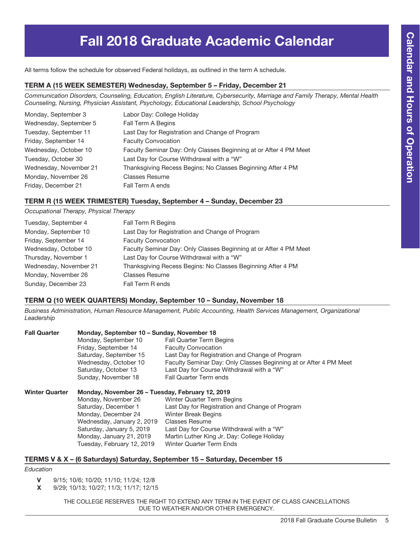# Fall 2018 Graduate Academic Calendar

All terms follow the schedule for observed Federal holidays, as outlined in the term A schedule.

#### TERM A (15 Week Semester) Wednesday, September 5 – Friday, December 21

*Communication Disorders, Counseling, Education, English Literature, Cybersecurity, Marriage and Family Therapy, Mental Health Counseling, Nursing, Physician Assistant, Psychology, Educational Leadership, School Psychology*

| Monday, September 3    | Labor Day: College Holiday                                        |
|------------------------|-------------------------------------------------------------------|
| Wednesday, September 5 | Fall Term A Begins                                                |
| Tuesday, September 11  | Last Day for Registration and Change of Program                   |
| Friday, September 14   | <b>Faculty Convocation</b>                                        |
| Wednesday, October 10  | Faculty Seminar Day: Only Classes Beginning at or After 4 PM Meet |
| Tuesday, October 30    | Last Day for Course Withdrawal with a "W"                         |
| Wednesday, November 21 | Thanksgiving Recess Begins; No Classes Beginning After 4 PM       |
| Monday, November 26    | <b>Classes Resume</b>                                             |
| Friday, December 21    | Fall Term A ends                                                  |

#### TERM R (15 Week Trimester) Tuesday, September 4 – Sunday, December 23

*Occupational Therapy, Physical Therapy*

| Tuesday, September 4   | <b>Fall Term R Begins</b>                                         |
|------------------------|-------------------------------------------------------------------|
| Monday, September 10   | Last Day for Registration and Change of Program                   |
| Friday, September 14   | <b>Faculty Convocation</b>                                        |
| Wednesday, October 10  | Faculty Seminar Day: Only Classes Beginning at or After 4 PM Meet |
| Thursday, November 1   | Last Day for Course Withdrawal with a "W"                         |
| Wednesday, November 21 | Thanksgiving Recess Begins: No Classes Beginning After 4 PM       |
| Monday, November 26    | <b>Classes Resume</b>                                             |
| Sunday, December 23    | Fall Term R ends                                                  |

#### TERM Q (10 Week Quarters) Monday, September 10 – Sunday, November 18

*Business Administration, Human Resource Management, Public Accounting, Health Services Management, Organizational Leadership* 

| <b>Fall Quarter</b>   | Monday, September 10 - Sunday, November 18       |                                                                   |  |  |  |
|-----------------------|--------------------------------------------------|-------------------------------------------------------------------|--|--|--|
|                       | Monday, September 10                             | <b>Fall Quarter Term Begins</b>                                   |  |  |  |
|                       | Friday, September 14                             | <b>Faculty Convocation</b>                                        |  |  |  |
|                       | Saturday, September 15                           | Last Day for Registration and Change of Program                   |  |  |  |
|                       | Wednesday, October 10                            | Faculty Seminar Day: Only Classes Beginning at or After 4 PM Meet |  |  |  |
|                       | Saturday, October 13                             | Last Day for Course Withdrawal with a "W"                         |  |  |  |
|                       | Sunday, November 18                              | <b>Fall Quarter Term ends</b>                                     |  |  |  |
| <b>Winter Quarter</b> | Monday, November 26 - Tuesday, February 12, 2019 |                                                                   |  |  |  |
|                       | Monday, November 26                              | Winter Quarter Term Begins                                        |  |  |  |
|                       | Saturday, December 1                             | Last Day for Registration and Change of Program                   |  |  |  |
|                       | Monday, December 24                              | <b>Winter Break Begins</b>                                        |  |  |  |
|                       | Wednesday, January 2, 2019                       | <b>Classes Resume</b>                                             |  |  |  |
|                       | Saturday, January 5, 2019                        | Last Day for Course Withdrawal with a "W"                         |  |  |  |
|                       | Monday, January 21, 2019                         | Martin Luther King Jr, Day: College Holiday                       |  |  |  |

 $m$ onday, January 21, 2019 — Martin Luther King Jr. Day: College Holiday Tuesday, February 12, 2019 Winter Quarter Term Ends

#### TERMS V & X – (6 Saturdays) Saturday, September 15 – Saturday, December 15

*Education*

V 9/15; 10/6; 10/20; 11/10; 11/24; 12/8

X 9/29; 10/13; 10/27; 11/3; 11/17; 12/15

THE COLLEGE RESERVES THE RIGHT TO EXTEND ANY TERM IN THE EVENT OF CLASS CANCELLATIONS DUE TO WEATHER AND/OR OTHER EMERGENCY.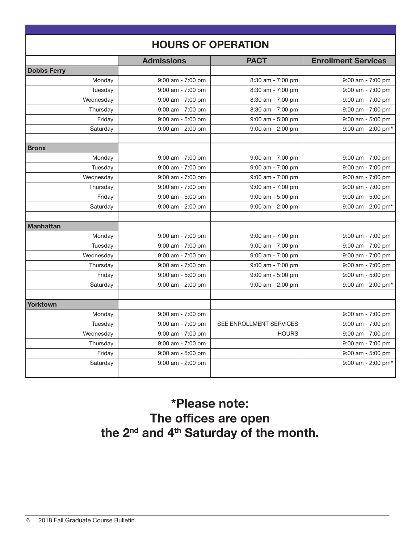| <b>HOURS OF OPERATION</b> |                       |                         |                            |  |  |  |
|---------------------------|-----------------------|-------------------------|----------------------------|--|--|--|
|                           | <b>Admissions</b>     | <b>PACT</b>             | <b>Enrollment Services</b> |  |  |  |
| <b>Dobbs Ferry</b>        |                       |                         |                            |  |  |  |
| Monday                    | $9:00$ am - $7:00$ pm | 8:30 am - 7:00 pm       | $9:00$ am - $7:00$ pm      |  |  |  |
| Tuesday                   | $9:00$ am - $7:00$ pm | 8:30 am - 7:00 pm       | $9:00$ am - $7:00$ pm      |  |  |  |
| Wednesday                 | $9:00$ am - 7:00 pm   | 8:30 am - 7:00 pm       | 9:00 am - 7:00 pm          |  |  |  |
| Thursday                  | 9:00 am - 7:00 pm     | 8:30 am - 7:00 pm       | 9:00 am - 7:00 pm          |  |  |  |
| Friday                    | 9:00 am - 5:00 pm     | 9:00 am - 5:00 pm       | 9:00 am - 5:00 pm          |  |  |  |
| Saturday                  | $9:00$ am - 2:00 pm   | $9:00$ am - 2:00 pm     | 9:00 am - 2:00 pm*         |  |  |  |
| <b>Bronx</b>              |                       |                         |                            |  |  |  |
| Monday                    | $9:00$ am - 7:00 pm   | 9:00 am - 7:00 pm       | $9:00$ am - 7:00 pm        |  |  |  |
| Tuesday                   | $9:00$ am - $7:00$ pm | 9:00 am - 7:00 pm       | $9:00$ am - $7:00$ pm      |  |  |  |
| Wednesday                 | $9:00$ am - $7:00$ pm | 9:00 am - 7:00 pm       | $9:00$ am - $7:00$ pm      |  |  |  |
| Thursday                  | $9:00$ am - 7:00 pm   | 9:00 am - 7:00 pm       | 9:00 am - 7:00 pm          |  |  |  |
| Friday                    | $9:00$ am - $5:00$ pm | 9:00 am - 5:00 pm       | $9:00$ am - $5:00$ pm      |  |  |  |
| Saturday                  | $9:00$ am - 2:00 pm   | $9:00$ am - 2:00 pm     | 9:00 am - 2:00 pm*         |  |  |  |
| <b>Manhattan</b>          |                       |                         |                            |  |  |  |
| Monday                    | $9:00$ am - 7:00 pm   | 9:00 am - 7:00 pm       | $9:00$ am - 7:00 pm        |  |  |  |
| Tuesday                   | $9:00$ am - 7:00 pm   | 9:00 am - 7:00 pm       | $9:00$ am - $7:00$ pm      |  |  |  |
| Wednesday                 | $9:00$ am - 7:00 pm   | $9:00$ am - $7:00$ pm   | $9:00$ am - $7:00$ pm      |  |  |  |
| Thursday                  | $9:00$ am - 7:00 pm   | $9:00$ am - $7:00$ pm   | $9:00$ am - $7:00$ pm      |  |  |  |
| Friday                    | $9:00$ am - 5:00 pm   | $9:00$ am - $5:00$ pm   | 9:00 am - 5:00 pm          |  |  |  |
| Saturday                  | 9:00 am - 2:00 pm     | 9:00 am - 2:00 pm       | $9:00$ am - 2:00 pm*       |  |  |  |
| Yorktown                  |                       |                         |                            |  |  |  |
| Monday                    | 9:00 am - 7:00 pm     |                         | 9:00 am - 7:00 pm          |  |  |  |
| Tuesday                   | $9:00$ am - $7:00$ pm | SEE ENROLLMENT SERVICES | 9:00 am - 7:00 pm          |  |  |  |
| Wednesday                 | $9:00$ am - 7:00 pm   | <b>HOURS</b>            | $9:00$ am - $7:00$ pm      |  |  |  |
| Thursday                  | 9:00 am - 7:00 pm     |                         | 9:00 am - 7:00 pm          |  |  |  |
| Friday                    | 9:00 am - 5:00 pm     |                         | 9:00 am - 5:00 pm          |  |  |  |
| Saturday                  | 9:00 am - 2:00 pm     |                         | 9:00 am - 2:00 pm*         |  |  |  |
|                           |                       |                         |                            |  |  |  |

## \*Please note: The offices are open the 2<sup>nd</sup> and 4<sup>th</sup> Saturday of the month.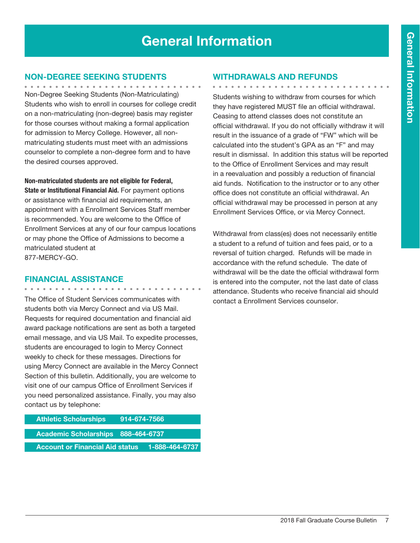# General Information

### Non-Degree Seeking Students

Non-Degree Seeking Students (Non-Matriculating) Students who wish to enroll in courses for college credit on a non-matriculating (non-degree) basis may register for those courses without making a formal application for admission to Mercy College. However, all nonmatriculating students must meet with an admissions counselor to complete a non-degree form and to have the desired courses approved.

Non-matriculated students are not eligible for Federal, State or Institutional Financial Aid. For payment options or assistance with financial aid requirements, an appointment with a Enrollment Services Staff member is recommended. You are welcome to the Office of Enrollment Services at any of our four campus locations or may phone the Office of Admissions to become a matriculated student at 877-MERCY-GO.

#### Financial Assistance

. . . . . . . . . . . . . . .

The Office of Student Services communicates with students both via Mercy Connect and via US Mail. Requests for required documentation and financial aid award package notifications are sent as both a targeted email message, and via US Mail. To expedite processes, students are encouraged to login to Mercy Connect weekly to check for these messages. Directions for using Mercy Connect are available in the Mercy Connect Section of this bulletin. Additionally, you are welcome to visit one of our campus Office of Enrollment Services if you need personalized assistance. Finally, you may also contact us by telephone:

| <b>Athletic Scholarships</b>              | 914-674-7566 |                |
|-------------------------------------------|--------------|----------------|
| <b>Academic Scholarships 888-464-6737</b> |              |                |
| <b>Account or Financial Aid status</b>    |              | 1-888-464-6737 |

#### Withdrawals and Refunds

. . . . . . . . . . . . . . . . . .

Students wishing to withdraw from courses for which they have registered MUST file an official withdrawal. Ceasing to attend classes does not constitute an official withdrawal. If you do not officially withdraw it will result in the issuance of a grade of "FW" which will be calculated into the student's GPA as an "F" and may result in dismissal. In addition this status will be reported to the Office of Enrollment Services and may result in a reevaluation and possibly a reduction of financial aid funds. Notification to the instructor or to any other office does not constitute an official withdrawal. An official withdrawal may be processed in person at any Enrollment Services Office, or via Mercy Connect.

Withdrawal from class(es) does not necessarily entitle a student to a refund of tuition and fees paid, or to a reversal of tuition charged. Refunds will be made in accordance with the refund schedule. The date of withdrawal will be the date the official withdrawal form is entered into the computer, not the last date of class attendance. Students who receive financial aid should contact a Enrollment Services counselor.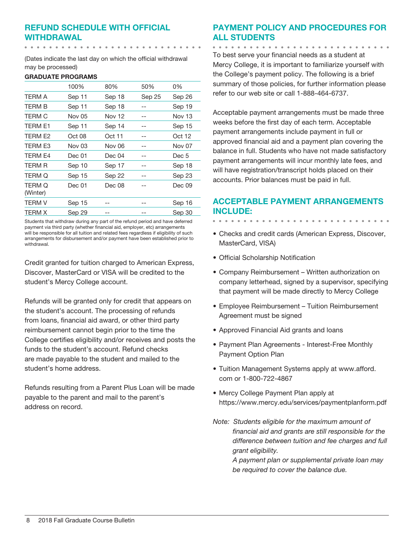## Refund Schedule with Official Withdrawal

(Dates indicate the last day on which the official withdrawal may be processed)

#### GRADUATE PROGRAMS

|                    | 100%          | 80%           | 50%    | 0%            |
|--------------------|---------------|---------------|--------|---------------|
| TERM A             | Sep 11        | Sep 18        | Sep 25 | Sep 26        |
| TERM B             | Sep 11        | Sep 18        |        | Sep 19        |
| TERM C             | Nov 05        | <b>Nov 12</b> | --     | Nov 13        |
| TERM E1            | Sep 11        | Sep 14        | --     | Sep 15        |
| TERM E2            | Oct 08        | Oct 11        |        | Oct 12        |
| TERM E3            | <b>Nov 03</b> | <b>Nov 06</b> |        | <b>Nov 07</b> |
| TERM E4            | Dec 01        | Dec 04        |        | Dec 5         |
| TERM R             | Sep 10        | Sep 17        |        | Sep 18        |
| TERM Q             | Sep 15        | Sep 22        |        | Sep 23        |
| TERM Q<br>(Winter) | Dec 01        | Dec 08        |        | Dec 09        |
| <b>TERM V</b>      | Sep 15        |               |        | Sep 16        |
| TERM X             | <b>Sep 29</b> |               |        | Sep 30        |

Students that withdraw during any part of the refund period and have deferred payment via third party (whether financial aid, employer, etc) arrangements will be responsible for all tuition and related fees regardless if eligibility of such arrangements for disbursement and/or payment have been established prior to withdrawal.

Credit granted for tuition charged to American Express, Discover, MasterCard or VISA will be credited to the student's Mercy College account.

Refunds will be granted only for credit that appears on the student's account. The processing of refunds from loans, financial aid award, or other third party reimbursement cannot begin prior to the time the College certifies eligibility and/or receives and posts the funds to the student's account. Refund checks are made payable to the student and mailed to the student's home address.

Refunds resulting from a Parent Plus Loan will be made payable to the parent and mail to the parent's address on record.

## Payment Policy and Procedures for all Students

. . . . . . . . . . . . . .

To best serve your financial needs as a student at Mercy College, it is important to familiarize yourself with the College's payment policy. The following is a brief summary of those policies, for further information please refer to our web site or call 1-888-464-6737.

Acceptable payment arrangements must be made three weeks before the first day of each term. Acceptable payment arrangements include payment in full or approved financial aid and a payment plan covering the balance in full. Students who have not made satisfactory payment arrangements will incur monthly late fees, and will have registration/transcript holds placed on their accounts. Prior balances must be paid in full.

## Acceptable Payment Arrangements include:

- Checks and credit cards (American Express, Discover, MasterCard, VISA)
- • Official Scholarship Notification
- Company Reimbursement Written authorization on company letterhead, signed by a supervisor, specifying that payment will be made directly to Mercy College
- Employee Reimbursement Tuition Reimbursement Agreement must be signed
- • Approved Financial Aid grants and loans
- Payment Plan Agreements Interest-Free Monthly Payment Option Plan
- Tuition Management Systems apply at www.afford. com or 1-800-722-4867
- Mercy College Payment Plan apply at https://www.mercy.edu/services/paymentplanform.pdf
- *Note: Students eligible for the maximum amount of financial aid and grants are still responsible for the difference between tuition and fee charges and full grant eligibility.*

*A payment plan or supplemental private loan may be required to cover the balance due.*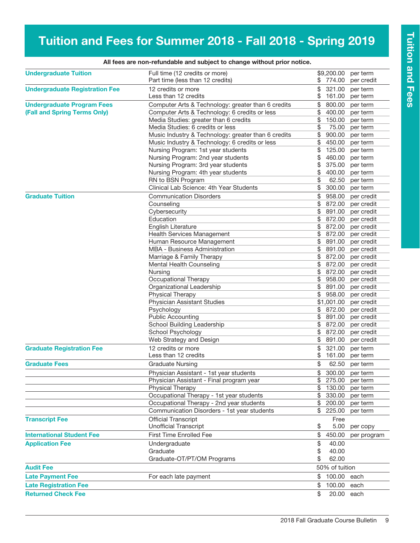# Tuition and Fees for Summer 2018 - Fall 2018 - Spring 2019

| <b>Undergraduate Tuition</b>          | Full time (12 credits or more)                      |          | \$9,200.00       | per term                 |
|---------------------------------------|-----------------------------------------------------|----------|------------------|--------------------------|
|                                       | Part time (less than 12 credits)                    | \$       | 774.00           | per credit               |
| <b>Undergraduate Registration Fee</b> | 12 credits or more                                  | \$       | 321.00           | per term                 |
|                                       | Less than 12 credits                                | \$       | 161.00           | per term                 |
| <b>Undergraduate Program Fees</b>     | Computer Arts & Technology: greater than 6 credits  | \$       | 800.00           | per term                 |
| (Fall and Spring Terms Only)          | Computer Arts & Technology: 6 credits or less       | \$       | 400.00           | per term                 |
|                                       | Media Studies: greater than 6 credits               | \$       | 150.00           | per term                 |
|                                       | Media Studies: 6 credits or less                    | \$       | 75.00            | per term                 |
|                                       | Music Industry & Technology: greater than 6 credits | \$       | 900.00           | per term                 |
|                                       | Music Industry & Technology: 6 credits or less      | \$       | 450.00           | per term                 |
|                                       | Nursing Program: 1st year students                  | \$       | 125.00           | per term                 |
|                                       | Nursing Program: 2nd year students                  | \$       | 460.00           | per term                 |
|                                       | Nursing Program: 3rd year students                  | \$       | 375.00           | per term                 |
|                                       | Nursing Program: 4th year students                  | \$       | 400.00           | per term                 |
|                                       | RN to BSN Program                                   | \$       | 62.50            | per term                 |
|                                       | Clinical Lab Science: 4th Year Students             | \$       | 300.00           | per term                 |
| <b>Graduate Tuition</b>               | <b>Communication Disorders</b>                      | \$       | 958.00           | per credit               |
|                                       | Counseling                                          | \$       | 872.00           | per credit               |
|                                       | Cybersecurity                                       | \$       | 891.00           | per credit               |
|                                       | Education                                           | \$       | 872.00           | per credit               |
|                                       | English Literature                                  | \$       | 872.00           | per credit               |
|                                       | Health Services Management                          | \$       | 872.00           | per credit               |
|                                       | Human Resource Management                           | \$       | 891.00           | per credit               |
|                                       | MBA - Business Administration                       | \$       | 891.00           | per credit               |
|                                       | Marriage & Family Therapy                           | \$       | 872.00           | per credit               |
|                                       | Mental Health Counseling<br>Nursing                 | \$<br>\$ | 872.00<br>872.00 | per credit<br>per credit |
|                                       | Occupational Therapy                                | \$       | 958.00           | per credit               |
|                                       | Organizational Leadership                           | \$       | 891.00           | per credit               |
|                                       | Physical Therapy                                    | \$       | 958.00           | per credit               |
|                                       | <b>Physician Assistant Studies</b>                  |          | \$1,001.00       | per credit               |
|                                       | Psychology                                          | \$       | 872.00           | per credit               |
|                                       | <b>Public Accounting</b>                            | \$       | 891.00           | per credit               |
|                                       | School Building Leadership                          | \$       | 872.00           | per credit               |
|                                       | School Psychology                                   | \$       | 872.00           | per credit               |
|                                       | Web Strategy and Design                             | \$       | 891.00           | per credit               |
| <b>Graduate Registration Fee</b>      | 12 credits or more                                  | \$       | 321.00           | per term                 |
|                                       | Less than 12 credits                                | \$       | 161.00           | per term                 |
| <b>Graduate Fees</b>                  | <b>Graduate Nursing</b>                             | \$       | 62.50            | per term                 |
|                                       | Physician Assistant - 1st year students             | \$       |                  | 300.00 per term          |
|                                       | Physician Assistant - Final program year            |          |                  | 275.00 per term          |
|                                       | Physical Therapy                                    | \$       | 130.00           | per term                 |
|                                       | Occupational Therapy - 1st year students            | \$       | 330.00           | per term                 |
|                                       | Occupational Therapy - 2nd year students            | \$       | 200.00           | per term                 |
|                                       | Communication Disorders - 1st year students         | \$       | 225.00           | per term                 |
| <b>Transcript Fee</b>                 | <b>Official Transcript</b>                          |          | Free             |                          |
|                                       | <b>Unofficial Transcript</b>                        | \$       | 5.00             | per copy                 |
| <b>International Student Fee</b>      | <b>First Time Enrolled Fee</b>                      | \$       | 450.00           | per program              |
| <b>Application Fee</b>                | Undergraduate                                       | \$       | 40.00            |                          |
|                                       | Graduate                                            | \$       | 40.00            |                          |
|                                       | Graduate-OT/PT/OM Programs                          | \$       | 62.00            |                          |
| <b>Audit Fee</b>                      |                                                     |          | 50% of tuition   |                          |
| <b>Late Payment Fee</b>               | For each late payment                               | \$       | 100.00           | each                     |
| <b>Late Registration Fee</b>          |                                                     | \$       | 100.00           | each                     |
| <b>Returned Check Fee</b>             |                                                     | \$       | 20.00 each       |                          |
|                                       |                                                     |          |                  |                          |

#### All fees are non-refundable and subject to change without prior notice.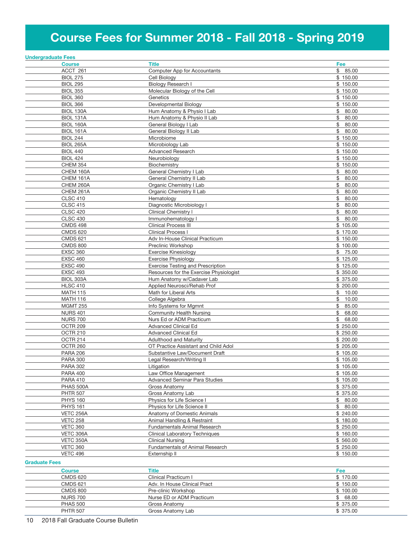# Course Fees for Summer 2018 - Fall 2018 - Spring 2019

|                      | <b>Undergraduate Fees</b> |                                          |             |
|----------------------|---------------------------|------------------------------------------|-------------|
|                      | <b>Course</b>             | <b>Title</b>                             | Fee         |
|                      | ACCT 261                  | Computer App for Accountants             | \$85.00     |
|                      | <b>BIOL 275</b>           | Cell Biology                             | \$150.00    |
|                      | <b>BIOL 295</b>           | Biology Research I                       | \$150.00    |
|                      | <b>BIOL 355</b>           | Molecular Biology of the Cell            | \$150.00    |
|                      | <b>BIOL 360</b>           | Genetics                                 | \$150.00    |
|                      | <b>BIOL 366</b>           | Developmental Biology                    | \$150.00    |
|                      | BIOL 130A                 |                                          | \$<br>80.00 |
|                      |                           | Hum Anatomy & Physio I Lab               |             |
|                      | BIOL 131A                 | Hum Anatomy & Physio II Lab              | \$<br>80.00 |
|                      | BIOL 160A                 | General Biology I Lab                    | \$<br>80.00 |
|                      | BIOL 161A                 | General Biology II Lab                   | \$<br>80.00 |
|                      | <b>BIOL 244</b>           | Microbiome                               | \$150.00    |
|                      | <b>BIOL 265A</b>          | Microbiology Lab                         | \$150.00    |
|                      | <b>BIOL 440</b>           | Advanced Research                        | \$150.00    |
|                      | <b>BIOL 424</b>           | Neurobiology                             | \$150.00    |
|                      | <b>CHEM 354</b>           | Biochemistry                             | \$150.00    |
|                      | CHEM 160A                 | General Chemistry I Lab                  | \$<br>80.00 |
|                      | CHEM 161A                 | General Chemistry II Lab                 | \$<br>80.00 |
|                      | CHEM 260A                 | Organic Chemistry I Lab                  | \$<br>80.00 |
|                      | CHEM 261A                 | Organic Chemistry II Lab                 | \$<br>80.00 |
|                      | <b>CLSC 410</b>           | Hematology                               | \$<br>80.00 |
|                      | <b>CLSC 415</b>           |                                          | \$<br>80.00 |
|                      |                           | Diagnostic Microbiology I                |             |
|                      | <b>CLSC 420</b>           | <b>Clinical Chemistry I</b>              | \$<br>80.00 |
|                      | <b>CLSC 430</b>           | Immunohematology I                       | \$<br>80.00 |
|                      | <b>CMDS 498</b>           | <b>Clinical Process III</b>              | \$105.00    |
|                      | <b>CMDS 620</b>           | <b>Clinical Process I</b>                | \$170.00    |
|                      | <b>CMDS 621</b>           | Adv In-House Clinical Practicum          | \$150.00    |
|                      | <b>CMDS 800</b>           | Preclinic Workshop                       | \$100.00    |
|                      | <b>EXSC 360</b>           | <b>Exercise Kinesiology</b>              | 75.00<br>\$ |
|                      | <b>EXSC 460</b>           | Exercise Physiology                      | \$125.00    |
|                      | <b>EXSC 490</b>           | <b>Exercise Testing and Prescription</b> | \$125.00    |
|                      | <b>EXSC 493</b>           | Resources for the Exercise Physiologist  | \$350.00    |
|                      | BIOL 303A                 | Hum Anatomy w/Cadaver Lab                | \$ 375.00   |
|                      | <b>HLSC 410</b>           | Applied Neurosci/Rehab Prof              | \$200.00    |
|                      | <b>MATH 115</b>           | Math for Liberal Arts                    | \$10.00     |
|                      | <b>MATH 116</b>           | College Algebra                          | \$<br>10.00 |
|                      | <b>MGMT 255</b>           | Info Systems for Mgmnt                   | \$<br>85.00 |
|                      | <b>NURS 401</b>           | Community Health Nursing                 | \$<br>68.00 |
|                      |                           |                                          | \$<br>68.00 |
|                      | <b>NURS 700</b>           | Nurs Ed or ADM Practicum                 |             |
|                      | OCTR 209                  | Advanced Clinical Ed                     | \$250.00    |
|                      | OCTR 210                  | <b>Advanced Clinical Ed</b>              | \$250.00    |
|                      | OCTR 214                  | <b>Adulthood and Maturity</b>            | \$200.00    |
|                      | OCTR <sub>260</sub>       | OT Practice Assistant and Child Adol     | \$205.00    |
|                      | <b>PARA 206</b>           | Substantive Law/Document Draft           | \$105.00    |
|                      | <b>PARA 300</b>           | Legal Research/Writing II                | \$105.00    |
|                      | <b>PARA 302</b>           | Litigation                               | \$105.00    |
|                      | <b>PARA 400</b>           | Law Office Management                    | \$105.00    |
|                      | <b>PARA 410</b>           | <b>Advanced Seminar Para Studies</b>     | \$105.00    |
|                      | PHAS 500A                 | Gross Anatomy                            | \$375.00    |
|                      | <b>PHTR 507</b>           | Gross Anatomy Lab                        | \$375.00    |
|                      | <b>PHYS 160</b>           | Physics for Life Science I               | \$80.00     |
|                      | <b>PHYS 161</b>           | Physics for Life Science II              | \$80.00     |
|                      | VETC 256A                 | Anatomy of Domestic Animals              | \$240.00    |
|                      | <b>VETC 258</b>           | Animal Handling & Restraint              | \$180.00    |
|                      | <b>VETC 360</b>           | Fundamentals Animal Research             | \$250.00    |
|                      | VETC 306A                 | <b>Clinical Laboratory Techniques</b>    | \$160.00    |
|                      | VETC 350A                 | <b>Clinical Nursing</b>                  | \$560.00    |
|                      |                           |                                          |             |
|                      | <b>VETC 360</b>           | Fundamentals of Animal Research          | \$250.00    |
|                      | <b>VETC 496</b>           | Externship II                            | \$150.00    |
| <b>Graduate Fees</b> |                           |                                          |             |
|                      | <b>Course</b>             | Title                                    | Fee         |
|                      | <b>CMDS 620</b>           | Clinical Practicum I                     | \$170.00    |
|                      | <b>CMDS 621</b>           | Adv. In House Clinical Pract             | \$150.00    |
|                      | <b>CMDS 800</b>           | Pre-clinic Workshop                      | \$100.00    |
|                      | <b>NURS 700</b>           | Nurse ED or ADM Practicum                | \$68.00     |
|                      |                           |                                          |             |

PHAS 500 Gross Anatomy \$ 375.00 PHTR 507 Gross Anatomy Lab \$ 375.00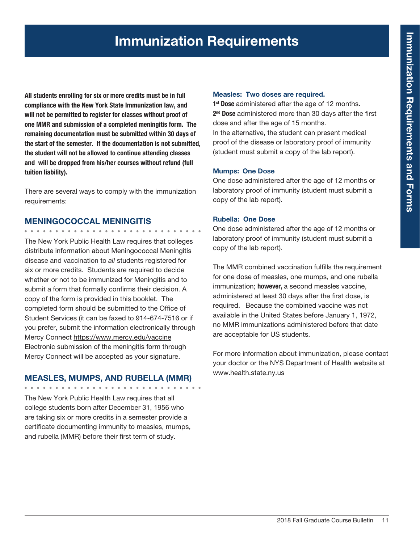# Immunization Requirements

All students enrolling for six or more credits must be in full compliance with the New York State Immunization law, and will not be permitted to register for classes without proof of one MMR and submission of a completed meningitis form. The remaining documentation must be submitted within 30 days of the start of the semester. If the documentation is not submitted, the student will not be allowed to continue attending classes and will be dropped from his/her courses without refund (full tuition liability).

There are several ways to comply with the immunization requirements:

#### MENINGOCOCCAL MENINGITIS

. . . . . . . . . . . . . . . . . .

The New York Public Health Law requires that colleges distribute information about Meningococcal Meningitis disease and vaccination to *all* students registered for six or more credits. Students are required to decide whether or not to be immunized for Meningitis and to submit a form that formally confirms their decision. A copy of the form is provided in this booklet. The completed form should be submitted to the Office of Student Services (it can be faxed to 914-674-7516 or if you prefer, submit the information electronically through Mercy Connect https://www.mercy.edu/vaccine Electronic submission of the meningitis form through Mercy Connect will be accepted as your signature.

#### MEASLES, MUMPS, AND RUBELLA (MMR)

The New York Public Health Law requires that all college students born after December 31, 1956 who are taking six or more credits in a semester provide a certificate documenting immunity to measles, mumps, and rubella (MMR) before their first term of study.

#### Measles: Two doses are required.

1<sup>st</sup> Dose administered after the age of 12 months. 2<sup>nd</sup> Dose administered more than 30 days after the first dose and after the age of 15 months. In the alternative, the student can present medical proof of the disease or laboratory proof of immunity (student must submit a copy of the lab report).

#### Mumps: One Dose

One dose administered after the age of 12 months or laboratory proof of immunity (student must submit a copy of the lab report).

#### Rubella: One Dose

One dose administered after the age of 12 months or laboratory proof of immunity (student must submit a copy of the lab report).

The MMR combined vaccination fulfills the requirement for one dose of measles, one mumps, and one rubella immunization; however, a second measles vaccine, administered at least 30 days after the first dose, is required. Because the combined vaccine was not available in the United States before January 1, 1972, no MMR immunizations administered before that date are acceptable for US students.

For more information about immunization, please contact your doctor or the NYS Department of Health website at www.health.state.ny.us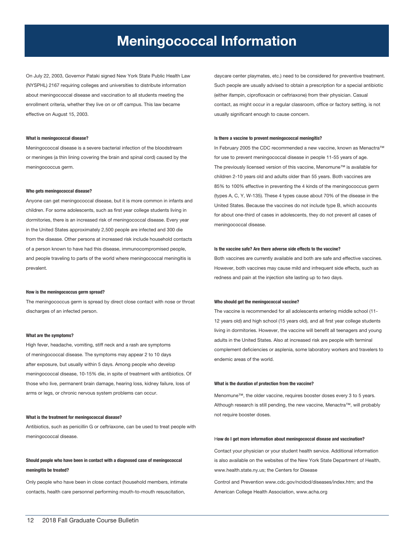## Meningococcal Information

On July 22, 2003, Governor Pataki signed New York State Public Health Law (NYSPHL) 2167 requiring colleges and universities to distribute information about meningococcal disease and vaccination to all students meeting the enrollment criteria, whether they live on or off campus. This law became effective on August 15, 2003.

#### What is meningococcal disease?

Meningococcal disease is a severe bacterial infection of the bloodstream or meninges (a thin lining covering the brain and spinal cord) caused by the meningococcus germ.

#### Who gets meningococcal disease?

Anyone can get meningococcal disease, but it is more common in infants and children. For some adolescents, such as first year college students living in dormitories, there is an increased risk of meningococcal disease. Every year in the United States approximately 2,500 people are infected and 300 die from the disease. Other persons at increased risk include household contacts of a person known to have had this disease, immunocompromised people, and people traveling to parts of the world where meningococcal meningitis is prevalent.

#### How is the meningococcus germ spread?

The meningococcus germ is spread by direct close contact with nose or throat discharges of an infected person.

#### What are the symptoms?

High fever, headache, vomiting, stiff neck and a rash are symptoms of meningococcal disease. The symptoms may appear 2 to 10 days after exposure, but usually within 5 days. Among people who develop meningococcal disease, 10-15% die, in spite of treatment with antibiotics. Of those who live, permanent brain damage, hearing loss, kidney failure, loss of arms or legs, or chronic nervous system problems can occur.

#### What is the treatment for meningococcal disease?

Antibiotics, such as penicillin G or ceftriaxone, can be used to treat people with meningococcal disease.

#### Should people who have been in contact with a diagnosed case of meningococcal meningitis be treated?

Only people who have been in close contact (household members, intimate contacts, health care personnel performing mouth-to-mouth resuscitation,

daycare center playmates, etc.) need to be considered for preventive treatment. Such people are usually advised to obtain a prescription for a special antibiotic (either ifampin, ciprofloxacin or ceftriaxone) from their physician. Casual contact, as might occur in a regular classroom, office or factory setting, is not usually significant enough to cause concern.

#### Is there a vaccine to prevent meningococcal meningitis?

In February 2005 the CDC recommended a new vaccine, known as Menactra™ for use to prevent meningococcal disease in people 11-55 years of age. The previously licensed version of this vaccine, Menomune™ is available for children 2-10 years old and adults older than 55 years. Both vaccines are 85% to 100% effective in preventing the 4 kinds of the meningococcus germ (types A, C, Y, W-135). These 4 types cause about 70% of the disease in the United States. Because the vaccines do not include type B, which accounts for about one-third of cases in adolescents, they do not prevent all cases of meningococcal disease.

#### Is the vaccine safe? Are there adverse side effects to the vaccine?

Both vaccines are currently available and both are safe and effective vaccines. However, both vaccines may cause mild and infrequent side effects, such as redness and pain at the injection site lasting up to two days.

#### Who should get the meningococcal vaccine?

The vaccine is recommended for all adolescents entering middle school (11- 12 years old) and high school (15 years old), and all first year college students living in dormitories. However, the vaccine will benefit all teenagers and young adults in the United States. Also at increased risk are people with terminal complement deficiencies or asplenia, some laboratory workers and travelers to endemic areas of the world.

#### What is the duration of protection from the vaccine?

Menomune™, the older vaccine, requires booster doses every 3 to 5 years. Although research is still pending, the new vaccine, Menactra™, will probably not require booster doses.

#### How do I get more information about meningococcal disease and vaccination?

Contact your physician or your student health service. Additional information is also available on the websites of the New York State Department of Health, www.health.state.ny.us; the Centers for Disease

Control and Prevention www.cdc.gov/ncidod/diseases/index.htm; and the American College Health Association, www.acha.org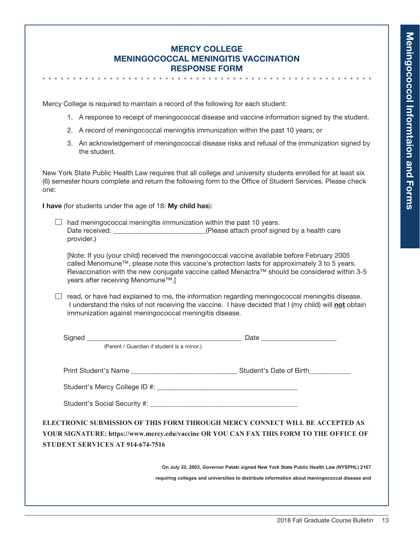## Mercy College Meningococcal Meningitis Vaccination Response Form

Mercy College is required to maintain a record of the following for each student:

- 1. A response to receipt of meningococcal disease and vaccine information signed by the student.
- 2. A record of meningococcal meningitis immunization within the past 10 years; or
- 3. An acknowledgement of meningococcal disease risks and refusal of the immunization signed by the student.

New York State Public Health Law requires that all college and university students enrolled for at least six (6) semester hours complete and return the following form to the Office of Student Services. Please check one:

I have (for students under the age of 18: My child has):

 $\Box$  had meningococcal meningitis immunization within the past 10 years. Date received: <br>  $(Please attach proof signed by a health care)$ provider.)

[Note: If you (your child) received the meningococcal vaccine available before February 2005 called Menomune™, please note this vaccine's protection lasts for approximately 3 to 5 years. Revaccination with the new conjugate vaccine called Menactra™ should be considered within 3-5 years after receiving Menomune™.]

 $\Box$  read, or have had explained to me, the information regarding meningococcal meningitis disease. I understand the risks of not receiving the vaccine. I have decided that I (my child) will not obtain immunization against meningococcal meningitis disease.

|                                         | (Parent / Guardian if student is a minor.)                                                                                                                                               |
|-----------------------------------------|------------------------------------------------------------------------------------------------------------------------------------------------------------------------------------------|
|                                         |                                                                                                                                                                                          |
|                                         |                                                                                                                                                                                          |
|                                         |                                                                                                                                                                                          |
| <b>STUDENT SERVICES AT 914-674-7516</b> | ELECTRONIC SUBMISSION OF THIS FORM THROUGH MERCY CONNECT WILL BE ACCEPTED AS<br>YOUR SIGNATURE: https://www.mercy.edu/vaccine OR YOU CAN FAX THIS FORM TO THE OFFICE OF                  |
|                                         | On July 22, 2003, Governor Pataki signed New York State Public Health Law (NYSPHL) 2167<br>requiring colleges and universities to distribute information about meningococcal disease and |
|                                         |                                                                                                                                                                                          |
|                                         |                                                                                                                                                                                          |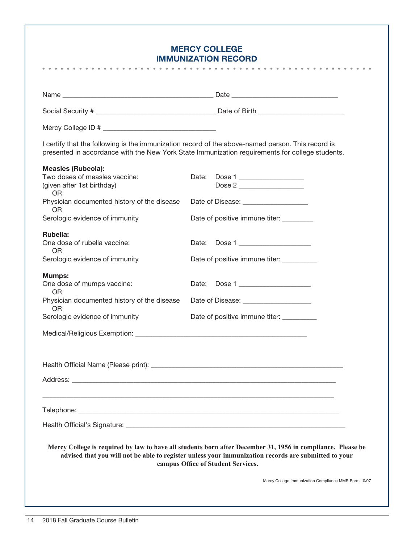## Mercy College **IMMUNIZATION REC**

| <b>IMMUNIZATION RECORD</b><br><b>.</b> .                                                                                                                                                                                                                  |
|-----------------------------------------------------------------------------------------------------------------------------------------------------------------------------------------------------------------------------------------------------------|
|                                                                                                                                                                                                                                                           |
|                                                                                                                                                                                                                                                           |
|                                                                                                                                                                                                                                                           |
|                                                                                                                                                                                                                                                           |
| I certify that the following is the immunization record of the above-named person. This record is<br>presented in accordance with the New York State Immunization requirements for college students.                                                      |
|                                                                                                                                                                                                                                                           |
| Dose 1<br>Date:<br>Dose 2                                                                                                                                                                                                                                 |
| Date of Disease: ____________________                                                                                                                                                                                                                     |
| Date of positive immune titer: _________                                                                                                                                                                                                                  |
| Date: Dose 1                                                                                                                                                                                                                                              |
| Date of positive immune titer: __________                                                                                                                                                                                                                 |
| Date: Dose 1                                                                                                                                                                                                                                              |
| Physician documented history of the disease<br>Date of Disease: _______________________                                                                                                                                                                   |
| Date of positive immune titer: __________                                                                                                                                                                                                                 |
|                                                                                                                                                                                                                                                           |
|                                                                                                                                                                                                                                                           |
|                                                                                                                                                                                                                                                           |
|                                                                                                                                                                                                                                                           |
|                                                                                                                                                                                                                                                           |
| Health Official's Signature: <b>contract of the Contract of Contract Contract of Contract Contract Contract Official</b>                                                                                                                                  |
| Mercy College is required by law to have all students born after December 31, 1956 in compliance. Please be<br>advised that you will not be able to register unless your immunization records are submitted to your<br>campus Office of Student Services. |
| Mercy College Immunization Compliance MMR Form 10/07                                                                                                                                                                                                      |
|                                                                                                                                                                                                                                                           |
|                                                                                                                                                                                                                                                           |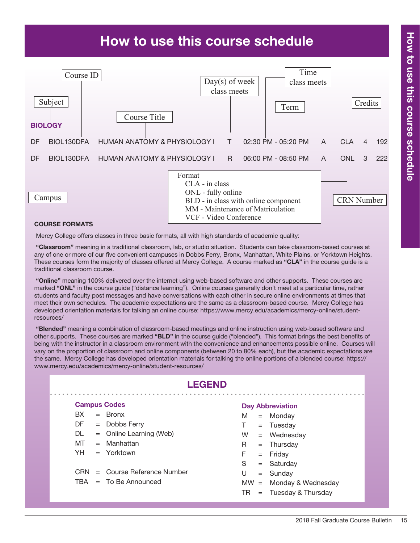# How to use this course schedule



#### Course Formats

Mercy College offers classes in three basic formats, all with high standards of academic quality:

 "Classroom" meaning in a traditional classroom, lab, or studio situation. Students can take classroom-based courses at any of one or more of our five convenient campuses in Dobbs Ferry, Bronx, Manhattan, White Plains, or Yorktown Heights. These courses form the majority of classes offered at Mercy College. A course marked as "CLA" in the course guide is a traditional classroom course.

"Online" meaning 100% delivered over the internet using web-based software and other supports. These courses are marked "ONL" in the course quide ("distance learning"). Online courses generally don't meet at a particular time, rather students and faculty post messages and have conversations with each other in secure online environments at times that meet their own schedules. The academic expectations are the same as a classroom-based course. Mercy College has developed orientation materials for talking an online course: https://www.mercy.edu/academics/mercy-online/studentresources/

 "Blended" meaning a combination of classroom-based meetings and online instruction using web-based software and other supports. These courses are marked "BLD" in the course guide ("blended"). This format brings the best benefits of being with the instructor in a classroom environment with the convenience and enhancements possible online. Courses will vary on the proportion of classroom and online components (between 20 to 80% each), but the academic expectations are the same. Mercy College has developed orientation materials for talking the online portions of a blended course: https:// www.mercy.edu/academics/mercy-online/student-resources/

|     | <b>LEGEND</b> |                                 |        |  |                         |  |  |  |  |  |
|-----|---------------|---------------------------------|--------|--|-------------------------|--|--|--|--|--|
|     |               | <b>Campus Codes</b>             |        |  | <b>Day Abbreviation</b> |  |  |  |  |  |
| BX. |               | $=$ Bronx                       | М      |  | $=$ Monday              |  |  |  |  |  |
| DF. |               | $=$ Dobbs Ferry                 | T.     |  | $=$ Tuesday             |  |  |  |  |  |
| DL. |               | $=$ Online Learning (Web)       | W      |  | $=$ Wednesday           |  |  |  |  |  |
| MT  |               | $=$ Manhattan                   | R.     |  | $=$ Thursday            |  |  |  |  |  |
| YH. |               | $=$ Yorktown                    | F.     |  | $=$ Friday              |  |  |  |  |  |
|     |               |                                 | S      |  | $=$ Saturday            |  |  |  |  |  |
|     |               | $CRN =$ Course Reference Number | U      |  | $=$ Sunday              |  |  |  |  |  |
|     |               | $TBA = To Be Announced$         | $MW =$ |  | Monday & Wednesday      |  |  |  |  |  |
|     |               |                                 | TR     |  | $=$ Tuesday & Thursday  |  |  |  |  |  |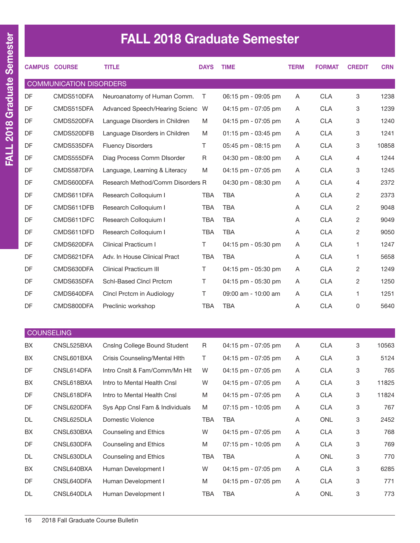# FALL 2018 Graduate Semester

|                   | <b>CAMPUS COURSE</b>           | <b>TITLE</b>                        | <b>DAYS</b> | <b>TIME</b>         | <b>TERM</b> | <b>FORMAT</b> | <b>CREDIT</b> | <b>CRN</b> |
|-------------------|--------------------------------|-------------------------------------|-------------|---------------------|-------------|---------------|---------------|------------|
|                   | <b>COMMUNICATION DISORDERS</b> |                                     |             |                     |             |               |               |            |
| DF                | CMDS510DFA                     | Neuroanatomy of Human Comm.         | T           | 06:15 pm - 09:05 pm | A           | <b>CLA</b>    | 3             | 1238       |
| DF                | CMDS515DFA                     | Advanced Speech/Hearing Scienc W    |             | 04:15 pm - 07:05 pm | A           | <b>CLA</b>    | 3             | 1239       |
| DF                | CMDS520DFA                     | Language Disorders in Children      | M           | 04:15 pm - 07:05 pm | A           | <b>CLA</b>    | 3             | 1240       |
| DF                | CMDS520DFB                     | Language Disorders in Children      | M           | 01:15 pm - 03:45 pm | A           | <b>CLA</b>    | 3             | 1241       |
| DF                | CMDS535DFA                     | <b>Fluency Disorders</b>            | T.          | 05:45 pm - 08:15 pm | A           | <b>CLA</b>    | 3             | 10858      |
| DF                | CMDS555DFA                     | Diag Process Comm DIsorder          | R           | 04:30 pm - 08:00 pm | A           | <b>CLA</b>    | 4             | 1244       |
| DF                | CMDS587DFA                     | Language, Learning & Literacy       | M           | 04:15 pm - 07:05 pm | A           | <b>CLA</b>    | 3             | 1245       |
| DF                | CMDS600DFA                     | Research Method/Comm Disorders R    |             | 04:30 pm - 08:30 pm | Α           | <b>CLA</b>    | 4             | 2372       |
| DF                | CMDS611DFA                     | Research Colloquium I               | <b>TBA</b>  | <b>TBA</b>          | Α           | <b>CLA</b>    | 2             | 2373       |
| DF                | CMDS611DFB                     | Research Colloquium I               | <b>TBA</b>  | <b>TBA</b>          | Α           | <b>CLA</b>    | 2             | 9048       |
| DF                | CMDS611DFC                     | Research Colloquium I               | <b>TBA</b>  | <b>TBA</b>          | Α           | <b>CLA</b>    | 2             | 9049       |
| DF                | CMDS611DFD                     | Research Colloquium I               | <b>TBA</b>  | <b>TBA</b>          | A           | <b>CLA</b>    | 2             | 9050       |
| DF                | CMDS620DFA                     | <b>Clinical Practicum I</b>         | T.          | 04:15 pm - 05:30 pm | Α           | <b>CLA</b>    | 1             | 1247       |
| DF                | CMDS621DFA                     | Adv. In House Clinical Pract        | <b>TBA</b>  | <b>TBA</b>          | A           | <b>CLA</b>    | 1             | 5658       |
| DF                | CMDS630DFA                     | <b>Clinical Practicum III</b>       | T.          | 04:15 pm - 05:30 pm | Α           | <b>CLA</b>    | 2             | 1249       |
| DF                | CMDS635DFA                     | Schl-Based Clncl Prctcm             | Τ           | 04:15 pm - 05:30 pm | Α           | <b>CLA</b>    | 2             | 1250       |
| DF                | CMDS640DFA                     | Clncl Prctcm in Audiology           | T.          | 09:00 am - 10:00 am | Α           | <b>CLA</b>    | 1             | 1251       |
| DF                | CMDS800DFA                     | Preclinic workshop                  | <b>TBA</b>  | <b>TBA</b>          | Α           | <b>CLA</b>    | 0             | 5640       |
|                   |                                |                                     |             |                     |             |               |               |            |
| <b>COUNSELING</b> |                                |                                     |             |                     |             |               |               |            |
| BX                | CNSL525BXA                     | <b>Cnsing College Bound Student</b> | R           | 04:15 pm - 07:05 pm | A           | <b>CLA</b>    | 3             | 10563      |
| BX                | CNSL601BXA                     | Crisis Counseling/Mental Hlth       | Τ           | 04:15 pm - 07:05 pm | Α           | <b>CLA</b>    | 3             | 5124       |
| DF                | CNSL614DFA                     | Intro Cnslt & Fam/Comm/Mn Hlt       | W           | 04:15 pm - 07:05 pm | Α           | <b>CLA</b>    | 3             | 765        |
| BX                | CNSL618BXA                     | Intro to Mental Health Cnsl         | W           | 04:15 pm - 07:05 pm | A           | <b>CLA</b>    | 3             | 11825      |
| DF                | CNSL618DFA                     | Intro to Mental Health Cnsl         | M           | 04:15 pm - 07:05 pm | A           | <b>CLA</b>    | 3             | 11824      |
| DF                | CNSL620DFA                     | Sys App Cnsl Fam & Individuals      | M           | 07:15 pm - 10:05 pm | A           | <b>CLA</b>    | 3             | 767        |
| DL                | CNSL625DLA                     | Domestic Violence                   | TBA         | TBA                 | A           | ONL           | 3             | 2452       |
| BX                | CNSL630BXA                     | Counseling and Ethics               | W           | 04:15 pm - 07:05 pm | A           | <b>CLA</b>    | 3             | 768        |
| DF                | CNSL630DFA                     | Counseling and Ethics               | M           | 07:15 pm - 10:05 pm | A           | <b>CLA</b>    | 3             | 769        |
| DL                | CNSL630DLA                     | Counseling and Ethics               | TBA         | <b>TBA</b>          | A           | ONL           | 3             | 770        |
| BX                | CNSL640BXA                     | Human Development I                 | W           | 04:15 pm - 07:05 pm | Α           | <b>CLA</b>    | 3             | 6285       |
| DF                | CNSL640DFA                     | Human Development I                 | M           | 04:15 pm - 07:05 pm | A           | <b>CLA</b>    | 3             | 771        |
| DL                | CNSL640DLA                     | Human Development I                 | TBA         | <b>TBA</b>          | A           | ONL           | 3             | 773        |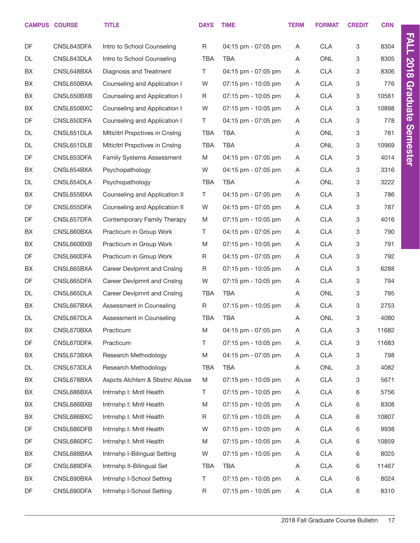|           | <b>CAMPUS COURSE</b> | <b>TITLE</b>                          | <b>DAYS</b> | <b>TIME</b>         | <b>TERM</b> | <b>FORMAT</b> | <b>CREDIT</b> | <b>CRN</b> |                 |
|-----------|----------------------|---------------------------------------|-------------|---------------------|-------------|---------------|---------------|------------|-----------------|
| DF        | CNSL643DFA           | Intro to School Counseling            | R           | 04:15 pm - 07:05 pm | A           | <b>CLA</b>    | 3             | 8304       | <b>FALL</b>     |
| DL        | CNSL643DLA           | Intro to School Counseling            | <b>TBA</b>  | TBA                 | Α           | <b>ONL</b>    | 3             | 8305       |                 |
| BX        | CNSL648BXA           | Diagnosis and Treatment               | T.          | 04:15 pm - 07:05 pm | A           | <b>CLA</b>    | 3             | 8306       | <b>2018</b>     |
| BX        | CNSL650BXA           | Counseling and Application I          | W           | 07:15 pm - 10:05 pm | Α           | <b>CLA</b>    | $\mathbf 3$   | 776        |                 |
| BX        | CNSL650BXB           | Counseling and Application I          | R           | 07:15 pm - 10:05 pm | A           | <b>CLA</b>    | 3             | 10561      |                 |
| BX        | CNSL650BXC           | Counseling and Application I          | W           | 07:15 pm - 10:05 pm | Α           | <b>CLA</b>    | 3             | 10898      | <b>Graduate</b> |
| DF        | CNSL650DFA           | Counseling and Application I          | T.          | 04:15 pm - 07:05 pm | A           | <b>CLA</b>    | 3             | 778        |                 |
| DL        | CNSL651DLA           | <b>Miticitri Prspctives in Cnsing</b> | <b>TBA</b>  | <b>TBA</b>          | Α           | <b>ONL</b>    | $\mathbf 3$   | 781        |                 |
| DL        | CNSL651DLB           | <b>Miticitri Prspctives in Cnsing</b> | <b>TBA</b>  | <b>TBA</b>          | Α           | <b>ONL</b>    | 3             | 10969      |                 |
| DF        | CNSL653DFA           | Family Systems Assessment             | M           | 04:15 pm - 07:05 pm | Α           | <b>CLA</b>    | 3             | 4014       | <b>Semester</b> |
| BX        | CNSL654BXA           | Psychopathology                       | W           | 04:15 pm - 07:05 pm | A           | <b>CLA</b>    | 3             | 3316       |                 |
| DL        | CNSL654DLA           | Psychopathology                       | <b>TBA</b>  | TBA                 | Α           | <b>ONL</b>    | 3             | 3222       |                 |
| BX        | CNSL655BXA           | Counseling and Application II         | T.          | 04:15 pm - 07:05 pm | Α           | <b>CLA</b>    | 3             | 786        |                 |
| DF        | CNSL655DFA           | Counseling and Application II         | W           | 04:15 pm - 07:05 pm | Α           | <b>CLA</b>    | 3             | 787        |                 |
| DF        | CNSL657DFA           | Contemporary Family Therapy           | M           | 07:15 pm - 10:05 pm | A           | <b>CLA</b>    | 3             | 4016       |                 |
| BX        | CNSL660BXA           | Practicum in Group Work               | T.          | 04:15 pm - 07:05 pm | Α           | <b>CLA</b>    | 3             | 790        |                 |
| BX        | CNSL660BXB           | Practicum in Group Work               | M           | 07:15 pm - 10:05 pm | A           | <b>CLA</b>    | 3             | 791        |                 |
| DF        | CNSL660DFA           | Practicum in Group Work               | R           | 04:15 pm - 07:05 pm | Α           | <b>CLA</b>    | $\mathbf 3$   | 792        |                 |
| BX        | CNSL665BXA           | Career Devlpmnt and Cnslng            | R           | 07:15 pm - 10:05 pm | A           | <b>CLA</b>    | 3             | 6288       |                 |
| DF        | CNSL665DFA           | Career Devlpmnt and Cnslng            | W           | 07:15 pm - 10:05 pm | Α           | <b>CLA</b>    | 3             | 794        |                 |
| <b>DL</b> | CNSL665DLA           | Career Devlpmnt and Cnslng            | <b>TBA</b>  | <b>TBA</b>          | A           | <b>ONL</b>    | 3             | 795        |                 |
| BX        | CNSL667BXA           | Assessment in Counseling              | R           | 07:15 pm - 10:05 pm | Α           | <b>CLA</b>    | 3             | 2753       |                 |
| DL        | CNSL667DLA           | Assessment in Counseling              | <b>TBA</b>  | <b>TBA</b>          | Α           | ONL           | 3             | 4080       |                 |
| BX        | CNSL670BXA           | Practicum                             | M           | 04:15 pm - 07:05 pm | Α           | <b>CLA</b>    | $\mathbf 3$   | 11682      |                 |
| DF        | CNSL670DFA           | Practicum                             | T           | 07:15 pm - 10:05 pm | Α           | <b>CLA</b>    | 3             | 11683      |                 |
| BX        | CNSL673BXA           | Research Methodology                  | M           | 04:15 pm - 07:05 pm | A           | <b>CLA</b>    | $\mathbf 3$   | 798        |                 |
| DL        | CNSL673DLA           | Research Methodology                  | <b>TBA</b>  | TBA                 | Α           | ONL           | 3             | 4082       |                 |
| BX        | CNSL678BXA           | Aspcts Alchism & Sbstnc Abuse         | M           | 07:15 pm - 10:05 pm | Α           | <b>CLA</b>    | 3             | 5671       |                 |
| BX        | CNSL686BXA           | Intrnshp I: Mntl Health               | T           | 07:15 pm - 10:05 pm | Α           | <b>CLA</b>    | 6             | 5756       |                 |
| BX        | CNSL686BXB           | Intrnshp I: Mntl Health               | M           | 07:15 pm - 10:05 pm | A           | <b>CLA</b>    | 6             | 8308       |                 |
| BX        | CNSL686BXC           | Intrnshp I: Mntl Health               | $\mathsf R$ | 07:15 pm - 10:05 pm | Α           | <b>CLA</b>    | 6             | 10807      |                 |
| DF        | CNSL686DFB           | Intrnshp I: Mntl Health               | W           | 07:15 pm - 10:05 pm | A           | <b>CLA</b>    | 6             | 9938       |                 |
| DF        | CNSL686DFC           | Intrnshp I: Mntl Health               | M           | 07:15 pm - 10:05 pm | Α           | <b>CLA</b>    | 6             | 10859      |                 |
| BX        | CNSL688BXA           | Intrnshp I-Bilingual Setting          | W           | 07:15 pm - 10:05 pm | A           | <b>CLA</b>    | 6             | 8025       |                 |
| DF        | CNSL689DFA           | Intrnshp II-Bilingual Set             | <b>TBA</b>  | <b>TBA</b>          | Α           | <b>CLA</b>    | 6             | 11467      |                 |
| BX        | CNSL690BXA           | Intrnshp I-School Setting             | T           | 07:15 pm - 10:05 pm | Α           | <b>CLA</b>    | 6             | 8024       |                 |
| DF        | CNSL690DFA           | Intrnshp I-School Setting             | R           | 07:15 pm - 10:05 pm | A           | <b>CLA</b>    | 6             | 8310       |                 |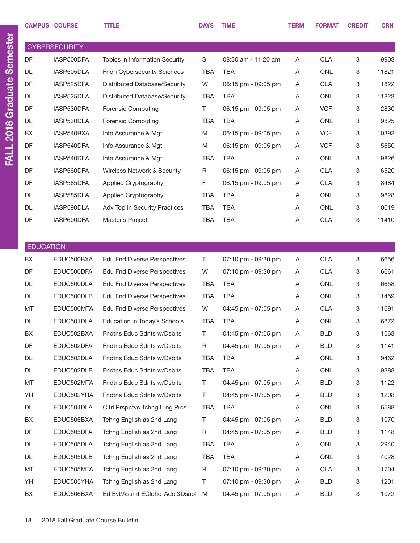| <b>CAMPUS COURSE</b> |                      | <b>TITLE</b>                          | <b>DAYS</b> | <b>TIME</b>         | <b>TERM</b> | <b>FORMAT</b> | <b>CREDIT</b> | <b>CRN</b> |
|----------------------|----------------------|---------------------------------------|-------------|---------------------|-------------|---------------|---------------|------------|
|                      | <b>CYBERSECURITY</b> |                                       |             |                     |             |               |               |            |
| DF                   | IASP500DFA           | <b>Topics in Information Security</b> | $\mathbf S$ | 08:30 am - 11:20 am | Α           | <b>CLA</b>    | 3             | 9903       |
| <b>DL</b>            | IASP505DLA           | <b>Fndn Cybersecurity Sciences</b>    | <b>TBA</b>  | <b>TBA</b>          | Α           | <b>ONL</b>    | 3             | 11821      |
| DF                   | IASP525DFA           | Distributed Database/Security         | W           | 06:15 pm - 09:05 pm | Α           | <b>CLA</b>    | 3             | 11822      |
| <b>DL</b>            | IASP525DLA           | Distributed Database/Security         | <b>TBA</b>  | <b>TBA</b>          | A           | <b>ONL</b>    | 3             | 11823      |
| DF                   | IASP530DFA           | <b>Forensic Computing</b>             | T           | 06:15 pm - 09:05 pm | Α           | <b>VCF</b>    | 3             | 2830       |
| <b>DL</b>            | IASP530DLA           | Forensic Computing                    | <b>TBA</b>  | <b>TBA</b>          | Α           | ONL           | 3             | 9825       |
| BX                   | IASP540BXA           | Info Assurance & Mgt                  | M           | 06:15 pm - 09:05 pm | Α           | <b>VCF</b>    | 3             | 10392      |
| DF                   | IASP540DFA           | Info Assurance & Mgt                  | M           | 06:15 pm - 09:05 pm | Α           | <b>VCF</b>    | 3             | 5650       |
| DL                   | IASP540DLA           | Info Assurance & Mgt                  | <b>TBA</b>  | <b>TBA</b>          | A           | ONL           | 3             | 9826       |
| DF                   | IASP560DFA           | Wireless Network & Security           | $\mathsf R$ | 06:15 pm - 09:05 pm | A           | <b>CLA</b>    | 3             | 6520       |
| DF                   | IASP585DFA           | Applied Cryptography                  | F           | 06:15 pm - 09:05 pm | Α           | <b>CLA</b>    | 3             | 8484       |
| <b>DL</b>            | IASP585DLA           | Applied Cryptography                  | <b>TBA</b>  | <b>TBA</b>          | Α           | <b>ONL</b>    | 3             | 9828       |
| <b>DL</b>            | IASP590DLA           | Adv Top in Security Practices         | <b>TBA</b>  | <b>TBA</b>          | Α           | <b>ONL</b>    | 3             | 10019      |
| DF                   | IASP600DFA           | Master's Project                      | <b>TBA</b>  | <b>TBA</b>          | A           | <b>CLA</b>    | 3             | 11410      |
|                      |                      |                                       |             |                     |             |               |               |            |
| <b>EDUCATION</b>     |                      |                                       |             |                     |             |               |               |            |
| BX                   | EDUC500BXA           | <b>Edu Fnd Diverse Perspectives</b>   | Τ           | 07:10 pm - 09:30 pm | Α           | <b>CLA</b>    | 3             | 6656       |
| DF                   | EDUC500DFA           | <b>Edu Fnd Diverse Perspectives</b>   | W           | 07:10 pm - 09:30 pm | Α           | <b>CLA</b>    | 3             | 6661       |
| <b>DL</b>            | EDUC500DLA           | <b>Edu Fnd Diverse Perspectives</b>   | <b>TBA</b>  | <b>TBA</b>          | Α           | <b>ONL</b>    | 3             | 6658       |
| <b>DL</b>            | EDUC500DLB           | <b>Edu Fnd Diverse Perspectives</b>   | <b>TBA</b>  | <b>TBA</b>          | Α           | <b>ONL</b>    | 3             | 11459      |
| MT                   | EDUC500MTA           | <b>Edu Fnd Diverse Perspectives</b>   | W           | 04:45 pm - 07:05 pm | Α           | <b>CLA</b>    | 3             | 11691      |
| <b>DL</b>            | EDUC501DLA           | Education in Today's Schools          | <b>TBA</b>  | <b>TBA</b>          | Α           | <b>ONL</b>    | 3             | 6872       |
| BX                   | EDUC502BXA           | Fndtns Educ Sdnts w/Dsblts            | Τ           | 04:45 pm - 07:05 pm | A           | <b>BLD</b>    | 3             | 1063       |
| DF                   | EDUC502DFA           | Fndtns Educ Sdnts w/Dsblts            | R           | 04:45 pm - 07:05 pm | A           | <b>BLD</b>    | 3             | 1141       |
| DL                   | EDUC502DLA           | Fndtns Educ Sdnts w/Dsblts            | TBA         | <b>TBA</b>          | A           | ONL           | 3             | 9462       |
| DL                   | EDUC502DLB           | Fndtns Educ Sdnts w/Dsblts            | <b>TBA</b>  | <b>TBA</b>          | Α           | ONL           | 3             | 9388       |
| MT                   | EDUC502MTA           | Fndtns Educ Sdnts w/Dsblts            | Τ           | 04:45 pm - 07:05 pm | A           | <b>BLD</b>    | 3             | 1122       |
| YH                   | EDUC502YHA           | Fndtns Educ Sdnts w/Dsblts            | T           | 04:45 pm - 07:05 pm | A           | <b>BLD</b>    | 3             | 1208       |
| DL                   | EDUC504DLA           | Citri Prspctvs Tchng Lrng Prcs        | TBA         | <b>TBA</b>          | A           | ONL           | 3             | 6588       |
| BX                   | EDUC505BXA           | Tchng English as 2nd Lang             | Τ           | 04:45 pm - 07:05 pm | A           | <b>BLD</b>    | 3             | 1070       |
| DF                   | EDUC505DFA           | Tchng English as 2nd Lang             | R           | 04:45 pm - 07:05 pm | A           | <b>BLD</b>    | 3             | 1148       |
| DL                   | EDUC505DLA           | Tchng English as 2nd Lang             | TBA         | TBA                 | A           | ONL           | 3             | 2940       |
| DL                   | EDUC505DLB           | Tchng English as 2nd Lang             | <b>TBA</b>  | TBA                 | A           | ONL           | 3             | 4028       |
| MT                   | EDUC505MTA           | Tchng English as 2nd Lang             | $\mathsf R$ | 07:10 pm - 09:30 pm | A           | <b>CLA</b>    | 3             | 11704      |
| YH                   | EDUC505YHA           | Tchng English as 2nd Lang             | Τ           | 07:10 pm - 09:30 pm | A           | <b>BLD</b>    | 3             | 1201       |
| BX                   | EDUC506BXA           | Ed Evl/Assmt ECIdhd-Adol&Dsabl M      |             | 04:45 pm - 07:05 pm | A           | <b>BLD</b>    | 3             | 1072       |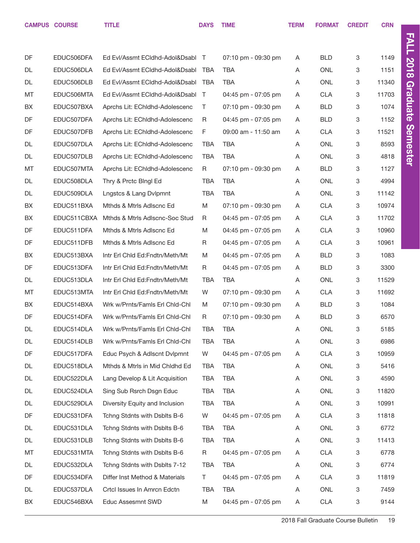CAMPUS COURSE TITLE TERM FORMAT CREDIT CRN

| DF | EDUC506DFA  | Ed Evl/Assmt ECldhd-Adol&Dsabl T |            | 07:10 pm - 09:30 pm | Α | <b>BLD</b> | 3 | 1149  |
|----|-------------|----------------------------------|------------|---------------------|---|------------|---|-------|
| DL | EDUC506DLA  | Ed Evl/Assmt ECIdhd-Adol&Dsabl   | <b>TBA</b> | <b>TBA</b>          | Α | <b>ONL</b> | 3 | 1151  |
| DL | EDUC506DLB  | Ed Evl/Assmt ECIdhd-Adol&Dsabl   | TBA        | TBA                 | Α | <b>ONL</b> | 3 | 11340 |
| MT | EDUC506MTA  | Ed Evl/Assmt ECIdhd-Adol&Dsabl T |            | 04:45 pm - 07:05 pm | Α | <b>CLA</b> | 3 | 11703 |
| BX | EDUC507BXA  | Aprchs Lit: EChldhd-Adolescenc   | Τ          | 07:10 pm - 09:30 pm | A | <b>BLD</b> | 3 | 1074  |
| DF | EDUC507DFA  | Aprchs Lit: EChldhd-Adolescenc   | R          | 04:45 pm - 07:05 pm | Α | <b>BLD</b> | 3 | 1152  |
| DF | EDUC507DFB  | Aprchs Lit: EChldhd-Adolescenc   | F          | 09:00 am - 11:50 am | A | <b>CLA</b> | 3 | 11521 |
| DL | EDUC507DLA  | Aprchs Lit: EChldhd-Adolescenc   | <b>TBA</b> | <b>TBA</b>          | Α | <b>ONL</b> | 3 | 8593  |
| DL | EDUC507DLB  | Aprchs Lit: EChldhd-Adolescenc   | <b>TBA</b> | <b>TBA</b>          | A | <b>ONL</b> | 3 | 4818  |
| MT | EDUC507MTA  | Aprchs Lit: EChldhd-Adolescenc   | R          | 07:10 pm - 09:30 pm | Α | <b>BLD</b> | 3 | 1127  |
| DL | EDUC508DLA  | Thry & Prctc Blngl Ed            | <b>TBA</b> | <b>TBA</b>          | A | <b>ONL</b> | 3 | 4994  |
| DL | EDUC509DLA  | Lngstcs & Lang Dvlpmnt           | <b>TBA</b> | <b>TBA</b>          | Α | <b>ONL</b> | 3 | 11142 |
| BX | EDUC511BXA  | Mthds & Mtrls Adlscnc Ed         | M          | 07:10 pm - 09:30 pm | A | <b>CLA</b> | 3 | 10974 |
| BX | EDUC511CBXA | Mthds & Mtrls Adlscnc-Soc Stud   | R          | 04:45 pm - 07:05 pm | A | <b>CLA</b> | 3 | 11702 |
| DF | EDUC511DFA  | Mthds & Mtrls Adlscnc Ed         | M          | 04:45 pm - 07:05 pm | A | <b>CLA</b> | 3 | 10960 |
| DF | EDUC511DFB  | Mthds & Mtrls Adlscnc Ed         | R          | 04:45 pm - 07:05 pm | Α | <b>CLA</b> | 3 | 10961 |
| BX | EDUC513BXA  | Intr Erl Chid Ed:Fndtn/Meth/Mt   | M          | 04:45 pm - 07:05 pm | A | <b>BLD</b> | 3 | 1083  |
| DF | EDUC513DFA  | Intr Erl Chid Ed:Fndtn/Meth/Mt   | R          | 04:45 pm - 07:05 pm | Α | <b>BLD</b> | 3 | 3300  |
| DL | EDUC513DLA  | Intr Erl Chid Ed:Fndtn/Meth/Mt   | <b>TBA</b> | TBA                 | A | <b>ONL</b> | 3 | 11529 |
| MT | EDUC513MTA  | Intr Erl Chid Ed:Fndtn/Meth/Mt   | W          | 07:10 pm - 09:30 pm | Α | <b>CLA</b> | 3 | 11692 |
| BX | EDUC514BXA  | Wrk w/Prnts/Famls Erl Chid-Chi   | M          | 07:10 pm - 09:30 pm | A | <b>BLD</b> | 3 | 1084  |
| DF | EDUC514DFA  | Wrk w/Prnts/Famls Erl Chid-Chi   | R          | 07:10 pm - 09:30 pm | Α | <b>BLD</b> | 3 | 6570  |
| DL | EDUC514DLA  | Wrk w/Prnts/Famls Erl Chld-Chl   | <b>TBA</b> | <b>TBA</b>          | A | <b>ONL</b> | 3 | 5185  |
| DL | EDUC514DLB  | Wrk w/Prnts/Famls Erl Chid-Chi   | <b>TBA</b> | <b>TBA</b>          | Α | ONL        | 3 | 6986  |
| DF | EDUC517DFA  | Educ Psych & Adlscnt Dvlpmnt     | W          | 04:45 pm - 07:05 pm | Α | <b>CLA</b> | 3 | 10959 |
| DL | EDUC518DLA  | Mthds & Mtrls in Mid Chldhd Ed   | TBA        | <b>TBA</b>          | Α | ONL        | 3 | 5416  |
| DL | EDUC522DLA  | Lang Develop & Lit Acquisition   | <b>TBA</b> | <b>TBA</b>          | Α | ONL        | 3 | 4590  |
| DL | EDUC524DLA  | Sing Sub Rsrch Dsgn Educ         | TBA        | <b>TBA</b>          | A | <b>ONL</b> | 3 | 11820 |
| DL | EDUC529DLA  | Diversity Equity and Inclusion   | <b>TBA</b> | <b>TBA</b>          | Α | ONL        | 3 | 10991 |
| DF | EDUC531DFA  | Tchng Stdnts with Dsblts B-6     | W          | 04:45 pm - 07:05 pm | A | <b>CLA</b> | 3 | 11818 |
| DL | EDUC531DLA  | Tchng Stdnts with Dsblts B-6     | TBA        | TBA                 | Α | <b>ONL</b> | 3 | 6772  |
| DL | EDUC531DLB  | Tchng Stdnts with Dsblts B-6     | <b>TBA</b> | <b>TBA</b>          | A | ONL        | 3 | 11413 |
| MT | EDUC531MTA  | Tchng Stdnts with Dsblts B-6     | R          | 04:45 pm - 07:05 pm | Α | <b>CLA</b> | 3 | 6778  |
| DL | EDUC532DLA  | Tchng Stdnts with Dsblts 7-12    | TBA        | <b>TBA</b>          | Α | <b>ONL</b> | 3 | 6774  |
| DF | EDUC534DFA  | Differ Inst Method & Materials   | T          | 04:45 pm - 07:05 pm | Α | <b>CLA</b> | 3 | 11819 |
| DL | EDUC537DLA  | Crtcl Issues In Amrcn Edctn      | <b>TBA</b> | <b>TBA</b>          | A | <b>ONL</b> | 3 | 7459  |
| BX | EDUC546BXA  | Educ Assesmnt SWD                | M          | 04:45 pm - 07:05 pm | Α | <b>CLA</b> | 3 | 9144  |
|    |             |                                  |            |                     |   |            |   |       |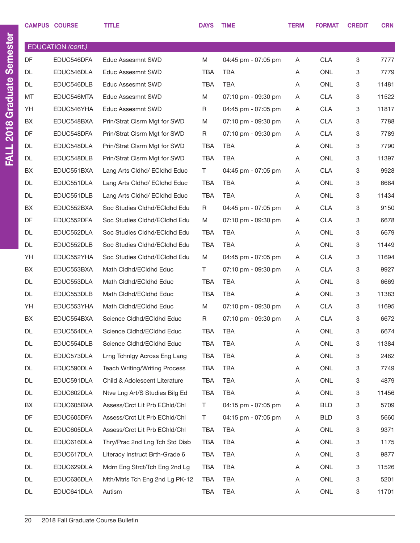|    | <b>CAMPUS COURSE</b> | <b>TITLE</b>                         | <b>DAYS</b> | <b>TIME</b>         | <b>TERM</b> | <b>FORMAT</b> | <b>CREDIT</b> | <b>CRN</b> |
|----|----------------------|--------------------------------------|-------------|---------------------|-------------|---------------|---------------|------------|
|    | EDUCATION (cont.)    |                                      |             |                     |             |               |               |            |
| DF | EDUC546DFA           | <b>Educ Assesmnt SWD</b>             | M           | 04:45 pm - 07:05 pm | Α           | <b>CLA</b>    | 3             | 7777       |
| DL | EDUC546DLA           | Educ Assesmnt SWD                    | <b>TBA</b>  | TBA                 | Α           | <b>ONL</b>    | 3             | 7779       |
| DL | EDUC546DLB           | Educ Assesmnt SWD                    | <b>TBA</b>  | TBA                 | A           | <b>ONL</b>    | 3             | 11481      |
| MT | EDUC546MTA           | Educ Assesmnt SWD                    | M           | 07:10 pm - 09:30 pm | Α           | <b>CLA</b>    | 3             | 11522      |
| YH | EDUC546YHA           | <b>Educ Assesmnt SWD</b>             | R           | 04:45 pm - 07:05 pm | Α           | <b>CLA</b>    | 3             | 11817      |
| BX | EDUC548BXA           | Prin/Strat Clsrm Mgt for SWD         | M           | 07:10 pm - 09:30 pm | Α           | <b>CLA</b>    | 3             | 7788       |
| DF | EDUC548DFA           | Prin/Strat Clsrm Mgt for SWD         | R           | 07:10 pm - 09:30 pm | Α           | <b>CLA</b>    | 3             | 7789       |
| DL | EDUC548DLA           | Prin/Strat Clsrm Mgt for SWD         | TBA         | TBA                 | Α           | <b>ONL</b>    | 3             | 7790       |
| DL | EDUC548DLB           | Prin/Strat Clsrm Mgt for SWD         | <b>TBA</b>  | TBA                 | A           | ONL           | 3             | 11397      |
| BX | EDUC551BXA           | Lang Arts Cldhd/ ECldhd Educ         | T.          | 04:45 pm - 07:05 pm | Α           | <b>CLA</b>    | 3             | 9928       |
| DL | EDUC551DLA           | Lang Arts Cldhd/ ECldhd Educ         | <b>TBA</b>  | TBA                 | A           | ONL           | 3             | 6684       |
| DL | EDUC551DLB           | Lang Arts Cldhd/ ECldhd Educ         | <b>TBA</b>  | TBA                 | Α           | <b>ONL</b>    | 3             | 11434      |
| BX | EDUC552BXA           | Soc Studies Cldhd/ECldhd Edu         | R           | 04:45 pm - 07:05 pm | Α           | <b>CLA</b>    | 3             | 9150       |
| DF | EDUC552DFA           | Soc Studies Cldhd/ECldhd Edu         | M           | 07:10 pm - 09:30 pm | Α           | <b>CLA</b>    | 3             | 6678       |
| DL | EDUC552DLA           | Soc Studies Cldhd/ECldhd Edu         | TBA         | TBA                 | A           | ONL           | 3             | 6679       |
| DL | EDUC552DLB           | Soc Studies Cldhd/ECldhd Edu         | <b>TBA</b>  | TBA                 | Α           | <b>ONL</b>    | 3             | 11449      |
| YH | EDUC552YHA           | Soc Studies Cldhd/ECldhd Edu         | M           | 04:45 pm - 07:05 pm | A           | <b>CLA</b>    | 3             | 11694      |
| BX | EDUC553BXA           | Math Cldhd/ECldhd Educ               | Τ           | 07:10 pm - 09:30 pm | Α           | <b>CLA</b>    | 3             | 9927       |
| DL | EDUC553DLA           | Math Cldhd/ECldhd Educ               | TBA         | TBA                 | Α           | ONL           | 3             | 6669       |
| DL | EDUC553DLB           | Math Cldhd/ECldhd Educ               | <b>TBA</b>  | TBA                 | Α           | <b>ONL</b>    | 3             | 11383      |
| YH | EDUC553YHA           | Math Cldhd/ECldhd Educ               | M           | 07:10 pm - 09:30 pm | Α           | <b>CLA</b>    | 3             | 11695      |
| BX | EDUC554BXA           | Science Cldhd/ECldhd Educ            | R           | 07:10 pm - 09:30 pm | Α           | <b>CLA</b>    | 3             | 6672       |
| DL | EDUC554DLA           | Science Cldhd/ECldhd Educ            | <b>TBA</b>  | <b>TBA</b>          | Α           | ONL           | 3             | 6674       |
| DL | EDUC554DLB           | Science Cldhd/ECldhd Educ            | <b>TBA</b>  | <b>TBA</b>          | Α           | ONL           | 3             | 11384      |
| DL | EDUC573DLA           | Lrng Tchnigy Across Eng Lang         | <b>TBA</b>  | TBA                 | Α           | ONL           | 3             | 2482       |
| DL | EDUC590DLA           | <b>Teach Writing/Writing Process</b> | <b>TBA</b>  | <b>TBA</b>          | Α           | ONL           | 3             | 7749       |
| DL | EDUC591DLA           | Child & Adolescent Literature        | <b>TBA</b>  | <b>TBA</b>          | Α           | ONL           | 3             | 4879       |
| DL | EDUC602DLA           | Ntve Lng Art/S Studies Bilg Ed       | <b>TBA</b>  | <b>TBA</b>          | Α           | ONL           | 3             | 11456      |
| BX | EDUC605BXA           | Assess/Crct Lit Prb EChld/Chl        | T           | 04:15 pm - 07:05 pm | Α           | <b>BLD</b>    | 3             | 5709       |
| DF | EDUC605DFA           | Assess/Crct Lit Prb EChld/Chl        | T           | 04:15 pm - 07:05 pm | Α           | <b>BLD</b>    | 3             | 5660       |
| DL | EDUC605DLA           | Assess/Crct Lit Prb EChld/Chl        | <b>TBA</b>  | <b>TBA</b>          | Α           | ONL           | 3             | 9371       |
| DL | EDUC616DLA           | Thry/Prac 2nd Lng Tch Std Disb       | <b>TBA</b>  | <b>TBA</b>          | Α           | ONL           | 3             | 1175       |
| DL | EDUC617DLA           | Literacy Instruct Brth-Grade 6       | <b>TBA</b>  | TBA                 | Α           | ONL           | 3             | 9877       |
| DL | EDUC629DLA           | Mdrn Eng Strct/Tch Eng 2nd Lg        | <b>TBA</b>  | <b>TBA</b>          | Α           | ONL           | 3             | 11526      |
| DL | EDUC636DLA           | Mth/Mtrls Tch Eng 2nd Lg PK-12       | <b>TBA</b>  | TBA                 | Α           | ONL           | 3             | 5201       |
| DL | EDUC641DLA           | Autism                               | TBA         | TBA                 | Α           | ONL           | 3             | 11701      |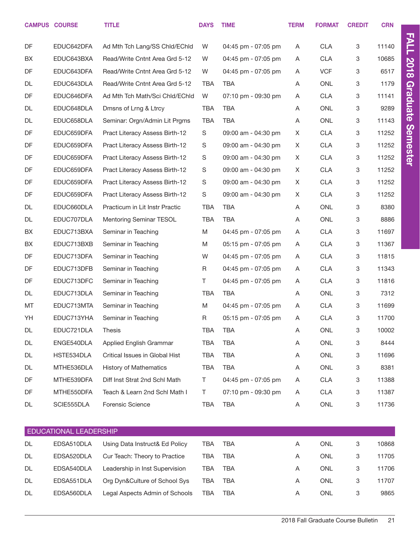|           | <b>CAMPUS COURSE</b>   | <b>TITLE</b>                   | <b>DAYS</b> | <b>TIME</b>         | <b>TERM</b> | <b>FORMAT</b> | <b>CREDIT</b>             | <b>CRN</b> |                 |
|-----------|------------------------|--------------------------------|-------------|---------------------|-------------|---------------|---------------------------|------------|-----------------|
| <b>DF</b> | EDUC642DFA             | Ad Mth Tch Lang/SS Chid/EChid  | W           | 04:45 pm - 07:05 pm | Α           | <b>CLA</b>    | 3                         | 11140      | <b>FALL</b>     |
| BX        | EDUC643BXA             | Read/Write Cntnt Area Grd 5-12 | W           | 04:45 pm - 07:05 pm | Α           | <b>CLA</b>    | 3                         | 10685      |                 |
| DF        | EDUC643DFA             | Read/Write Cntnt Area Grd 5-12 | W           | 04:45 pm - 07:05 pm | Α           | <b>VCF</b>    | $\mathbf 3$               | 6517       | <b>2018</b>     |
| DL        | EDUC643DLA             | Read/Write Cntnt Area Grd 5-12 | <b>TBA</b>  | TBA                 | Α           | <b>ONL</b>    | 3                         | 1179       |                 |
| DF        | EDUC646DFA             | Ad Mth Tch Math/Sci Chld/EChld | W           | 07:10 pm - 09:30 pm | Α           | <b>CLA</b>    | 3                         | 11141      | Graduate        |
| DL        | EDUC648DLA             | Dmsns of Lrng & Ltrcy          | <b>TBA</b>  | <b>TBA</b>          | Α           | <b>ONL</b>    | 3                         | 9289       |                 |
| DL        | EDUC658DLA             | Seminar: Orgn/Admin Lit Prgms  | <b>TBA</b>  | <b>TBA</b>          | Α           | <b>ONL</b>    | 3                         | 11143      |                 |
| DF        | EDUC659DFA             | Pract Literacy Assess Birth-12 | S           | 09:00 am - 04:30 pm | X           | <b>CLA</b>    | 3                         | 11252      | <b>Semester</b> |
| DF        | EDUC659DFA             | Pract Literacy Assess Birth-12 | $\mathbb S$ | 09:00 am - 04:30 pm | X           | <b>CLA</b>    | 3                         | 11252      |                 |
| DF        | EDUC659DFA             | Pract Literacy Assess Birth-12 | $\mathbb S$ | 09:00 am - 04:30 pm | X           | <b>CLA</b>    | 3                         | 11252      |                 |
| DF        | EDUC659DFA             | Pract Literacy Assess Birth-12 | $\mathbb S$ | 09:00 am - 04:30 pm | X           | <b>CLA</b>    | 3                         | 11252      |                 |
| DF        | EDUC659DFA             | Pract Literacy Assess Birth-12 | $\mathbb S$ | 09:00 am - 04:30 pm | X           | <b>CLA</b>    | $\mathbf 3$               | 11252      |                 |
| DF        | EDUC659DFA             | Pract Literacy Assess Birth-12 | S           | 09:00 am - 04:30 pm | X           | <b>CLA</b>    | 3                         | 11252      |                 |
| DL        | EDUC660DLA             | Practicum in Lit Instr Practic | <b>TBA</b>  | <b>TBA</b>          | Α           | <b>ONL</b>    | 3                         | 8380       |                 |
| DL        | EDUC707DLA             | Mentoring Seminar TESOL        | TBA         | <b>TBA</b>          | Α           | <b>ONL</b>    | 3                         | 8886       |                 |
| BX        | EDUC713BXA             | Seminar in Teaching            | M           | 04:45 pm - 07:05 pm | Α           | <b>CLA</b>    | $\mathbf 3$               | 11697      |                 |
| BX        | EDUC713BXB             | Seminar in Teaching            | M           | 05:15 pm - 07:05 pm | Α           | <b>CLA</b>    | 3                         | 11367      |                 |
| DF        | EDUC713DFA             | Seminar in Teaching            | W           | 04:45 pm - 07:05 pm | Α           | <b>CLA</b>    | 3                         | 11815      |                 |
| DF        | EDUC713DFB             | Seminar in Teaching            | R           | 04:45 pm - 07:05 pm | Α           | <b>CLA</b>    | 3                         | 11343      |                 |
| DF        | EDUC713DFC             | Seminar in Teaching            | Τ           | 04:45 pm - 07:05 pm | Α           | <b>CLA</b>    | 3                         | 11816      |                 |
| DL        | EDUC713DLA             | Seminar in Teaching            | <b>TBA</b>  | <b>TBA</b>          | Α           | <b>ONL</b>    | 3                         | 7312       |                 |
| MT        | EDUC713MTA             | Seminar in Teaching            | M           | 04:45 pm - 07:05 pm | Α           | <b>CLA</b>    | 3                         | 11699      |                 |
| YH        | EDUC713YHA             | Seminar in Teaching            | $\mathsf R$ | 05:15 pm - 07:05 pm | Α           | <b>CLA</b>    | 3                         | 11700      |                 |
| DL        | EDUC721DLA             | <b>Thesis</b>                  | <b>TBA</b>  | TBA                 | Α           | <b>ONL</b>    | 3                         | 10002      |                 |
| DL        | ENGE540DLA             | Applied English Grammar        | <b>TBA</b>  | TBA                 | Α           | <b>ONL</b>    | 3                         | 8444       |                 |
| DL        | HSTE534DLA             | Critical Issues in Global Hist | <b>TBA</b>  | <b>TBA</b>          | Α           | ONL           | 3                         | 11696      |                 |
| DL        | MTHE536DLA             | <b>History of Mathematics</b>  | <b>TBA</b>  | <b>TBA</b>          | Α           | ONL           | 3                         | 8381       |                 |
| DF        | MTHE539DFA             | Diff Inst Strat 2nd Schl Math  | T.          | 04:45 pm - 07:05 pm | Α           | <b>CLA</b>    | 3                         | 11388      |                 |
| DF        | MTHE550DFA             | Teach & Learn 2nd Schl Math I  | T.          | 07:10 pm - 09:30 pm | Α           | <b>CLA</b>    | 3                         | 11387      |                 |
| DL        | SCIE555DLA             | Forensic Science               | TBA         | <b>TBA</b>          | Α           | ONL           | $\ensuremath{\mathsf{3}}$ | 11736      |                 |
|           | EDUCATIONAL LEADERSHIP |                                |             |                     |             |               |                           |            |                 |
| DL        | EDSA510DLA             | Using Data Instruct& Ed Policy | <b>TBA</b>  | TBA                 | Α           | <b>ONL</b>    | $\ensuremath{\mathsf{3}}$ | 10868      |                 |
| DL        | EDSA520DLA             | Cur Teach: Theory to Practice  | <b>TBA</b>  | <b>TBA</b>          | Α           | ONL           | 3                         | 11705      |                 |
| DL        | EDSA540DLA             | Leadership in Inst Supervision | <b>TBA</b>  | <b>TBA</b>          | Α           | ONL           | 3                         | 11706      |                 |
| DL        | EDSA551DLA             | Org Dyn&Culture of School Sys  | <b>TBA</b>  | TBA                 | A           | ONL           | 3                         | 11707      |                 |

DL EDSA560DLA Legal Aspects Admin of Schools TBA TBA A A ONL 3 9865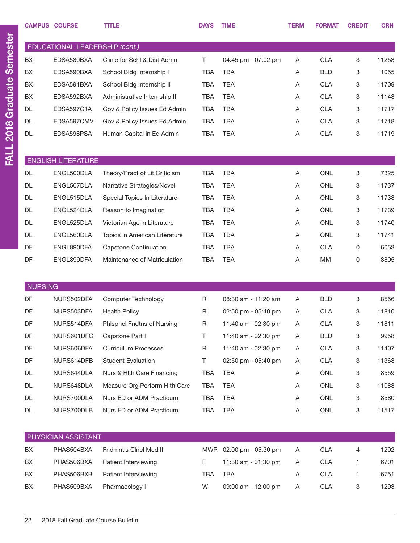|                | <b>CAMPUS COURSE</b>           | <b>TITLE</b>                  | <b>DAYS</b> | <b>TIME</b>         | <b>TERM</b> | <b>FORMAT</b> | <b>CREDIT</b> | <b>CRN</b> |
|----------------|--------------------------------|-------------------------------|-------------|---------------------|-------------|---------------|---------------|------------|
|                | EDUCATIONAL LEADERSHIP (cont.) |                               |             |                     |             |               |               |            |
| BX             | EDSA580BXA                     | Clinic for Schl & Dist Admn   | $\top$      | 04:45 pm - 07:02 pm | Α           | <b>CLA</b>    | 3             | 11253      |
| BX             | EDSA590BXA                     | School Bldg Internship I      | <b>TBA</b>  | <b>TBA</b>          | Α           | <b>BLD</b>    | 3             | 1055       |
| BX             | EDSA591BXA                     | School Bldg Internship II     | <b>TBA</b>  | <b>TBA</b>          | Α           | <b>CLA</b>    | 3             | 11709      |
| BX             | EDSA592BXA                     | Administrative Internship II  | <b>TBA</b>  | <b>TBA</b>          | Α           | <b>CLA</b>    | 3             | 11148      |
| DL             | EDSA597C1A                     | Gov & Policy Issues Ed Admin  | <b>TBA</b>  | <b>TBA</b>          | Α           | <b>CLA</b>    | 3             | 11717      |
| DL             | EDSA597CMV                     | Gov & Policy Issues Ed Admin  | <b>TBA</b>  | <b>TBA</b>          | A           | <b>CLA</b>    | 3             | 11718      |
| DL             | EDSA598PSA                     | Human Capital in Ed Admin     | <b>TBA</b>  | <b>TBA</b>          | Α           | <b>CLA</b>    | 3             | 11719      |
|                |                                |                               |             |                     |             |               |               |            |
|                | <b>ENGLISH LITERATURE</b>      |                               |             |                     |             |               |               |            |
| <b>DL</b>      | ENGL500DLA                     | Theory/Pract of Lit Criticism | <b>TBA</b>  | <b>TBA</b>          | Α           | <b>ONL</b>    | 3             | 7325       |
| <b>DL</b>      | ENGL507DLA                     | Narrative Strategies/Novel    | <b>TBA</b>  | <b>TBA</b>          | Α           | <b>ONL</b>    | 3             | 11737      |
| <b>DL</b>      | ENGL515DLA                     | Special Topics In Literature  | <b>TBA</b>  | <b>TBA</b>          | Α           | <b>ONL</b>    | 3             | 11738      |
| DL             | ENGL524DLA                     | Reason to Imagination         | <b>TBA</b>  | <b>TBA</b>          | Α           | <b>ONL</b>    | 3             | 11739      |
| DL             | ENGL525DLA                     | Victorian Age in Literature   | <b>TBA</b>  | <b>TBA</b>          | Α           | <b>ONL</b>    | 3             | 11740      |
| DL             | ENGL560DLA                     | Topics in American Literature | <b>TBA</b>  | <b>TBA</b>          | Α           | <b>ONL</b>    | 3             | 11741      |
| DF             | ENGL890DFA                     | <b>Capstone Continuation</b>  | <b>TBA</b>  | <b>TBA</b>          | Α           | <b>CLA</b>    | 0             | 6053       |
| DF             | ENGL899DFA                     | Maintenance of Matriculation  | <b>TBA</b>  | <b>TBA</b>          | Α           | MM            | 0             | 8805       |
| <b>NURSING</b> |                                |                               |             |                     |             |               |               |            |
| DF             | NURS502DFA                     | Computer Technology           | R           | 08:30 am - 11:20 am | A           | <b>BLD</b>    | 3             | 8556       |
| DF             | NURS503DFA                     | <b>Health Policy</b>          | R           | 02:50 pm - 05:40 pm | A           | <b>CLA</b>    | 3             | 11810      |
| DF             | NURS514DFA                     | Phlsphcl Fndtns of Nursing    | $\mathsf R$ | 11:40 am - 02:30 pm | Α           | <b>CLA</b>    | 3             | 11811      |
| DF             | NURS601DFC                     | Capstone Part I               | T.          | 11:40 am - 02:30 pm | Α           | <b>BLD</b>    | 3             | 9958       |
| DF             | NURS606DFA                     | <b>Curriculum Processes</b>   | R           | 11:40 am - 02:30 pm | Α           | <b>CLA</b>    | 3             | 11407      |
| DF             | NURS614DFB                     | <b>Student Evaluation</b>     | T.          | 02:50 pm - 05:40 pm | Α           | <b>CLA</b>    | 3             | 11368      |
| DL             | NURS644DLA                     | Nurs & Hlth Care Financing    | TBA         | <b>TBA</b>          | Α           | ONL           | 3             | 8559       |
| DL             | NURS648DLA                     | Measure Org Perform Hith Care | TBA         | <b>TBA</b>          | A           | ONL           | 3             | 11088      |
| DL             | NURS700DLA                     | Nurs ED or ADM Practicum      | TBA         | <b>TBA</b>          | A           | ONL           | 3             | 8580       |
| DL             | NURS700DLB                     | Nurs ED or ADM Practicum      | TBA         | <b>TBA</b>          | Α           | ONL           | 3             | 11517      |
|                |                                |                               |             |                     |             |               |               |            |
|                | PHYSICIAN ASSISTANT            |                               |             |                     |             |               |               |            |
| BX             | PHAS504BXA                     | Fndmntls Clncl Med II         | MWR         | 02:00 pm - 05:30 pm | A           | <b>CLA</b>    | 4             | 1292       |
| BX             | PHAS506BXA                     | Patient Interviewing          | F           | 11:30 am - 01:30 pm | A           | <b>CLA</b>    | 1.            | 6701       |
| BX             | PHAS506BXB                     | Patient Interviewing          | <b>TBA</b>  | <b>TBA</b>          | Α           | <b>CLA</b>    | 1             | 6751       |
| BX             | PHAS509BXA                     | Pharmacology I                | W           | 09:00 am - 12:00 pm | A           | <b>CLA</b>    | 3             | 1293       |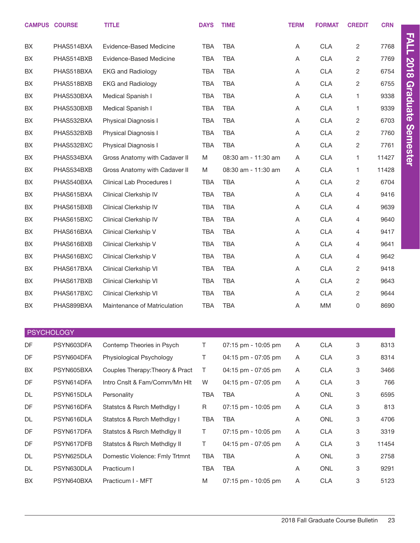|    | <b>CAMPUS COURSE</b> | <b>TITLE</b>                    | <b>DAYS</b> | <b>TIME</b>         | <b>TERM</b> | <b>FORMAT</b> | <b>CREDIT</b>  | <b>CRN</b> |                 |
|----|----------------------|---------------------------------|-------------|---------------------|-------------|---------------|----------------|------------|-----------------|
| BX | PHAS514BXA           | Evidence-Based Medicine         | <b>TBA</b>  | <b>TBA</b>          | Α           | <b>CLA</b>    | 2              | 7768       | <b>FALL</b>     |
| BX | PHAS514BXB           | Evidence-Based Medicine         | <b>TBA</b>  | <b>TBA</b>          | Α           | <b>CLA</b>    | 2              | 7769       |                 |
| BX | PHAS518BXA           | <b>EKG and Radiology</b>        | <b>TBA</b>  | <b>TBA</b>          | Α           | <b>CLA</b>    | $\sqrt{2}$     | 6754       | <b>2018</b>     |
| BX | PHAS518BXB           | <b>EKG and Radiology</b>        | <b>TBA</b>  | <b>TBA</b>          | Α           | <b>CLA</b>    | 2              | 6755       |                 |
| BX | PHAS530BXA           | Medical Spanish I               | <b>TBA</b>  | <b>TBA</b>          | Α           | <b>CLA</b>    | 1              | 9338       | <b>Graduate</b> |
| BX | PHAS530BXB           | Medical Spanish I               | <b>TBA</b>  | <b>TBA</b>          | Α           | <b>CLA</b>    | 1              | 9339       |                 |
| BX | PHAS532BXA           | Physical Diagnosis I            | <b>TBA</b>  | <b>TBA</b>          | Α           | <b>CLA</b>    | 2              | 6703       |                 |
| BX | PHAS532BXB           | Physical Diagnosis I            | <b>TBA</b>  | <b>TBA</b>          | Α           | CLA           | 2              | 7760       |                 |
| BX | PHAS532BXC           | Physical Diagnosis I            | <b>TBA</b>  | <b>TBA</b>          | Α           | <b>CLA</b>    | $\overline{c}$ | 7761       |                 |
| BX | PHAS534BXA           | Gross Anatomy with Cadaver II   | M           | 08:30 am - 11:30 am | Α           | <b>CLA</b>    | 1              | 11427      | <b>Semester</b> |
| BX | PHAS534BXB           | Gross Anatomy with Cadaver II   | M           | 08:30 am - 11:30 am | Α           | <b>CLA</b>    | $\mathbf{1}$   | 11428      |                 |
| BX | PHAS540BXA           | Clinical Lab Procedures I       | <b>TBA</b>  | <b>TBA</b>          | A           | <b>CLA</b>    | 2              | 6704       |                 |
| BX | PHAS615BXA           | Clinical Clerkship IV           | <b>TBA</b>  | <b>TBA</b>          | Α           | <b>CLA</b>    | 4              | 9416       |                 |
| BX | PHAS615BXB           | Clinical Clerkship IV           | <b>TBA</b>  | <b>TBA</b>          | Α           | CLA           | 4              | 9639       |                 |
| BX | PHAS615BXC           | Clinical Clerkship IV           | <b>TBA</b>  | <b>TBA</b>          | Α           | <b>CLA</b>    | 4              | 9640       |                 |
| BX | PHAS616BXA           | Clinical Clerkship V            | <b>TBA</b>  | <b>TBA</b>          | Α           | CLA           | 4              | 9417       |                 |
| BX | PHAS616BXB           | Clinical Clerkship V            | <b>TBA</b>  | <b>TBA</b>          | Α           | <b>CLA</b>    | 4              | 9641       |                 |
| BX | PHAS616BXC           | Clinical Clerkship V            | <b>TBA</b>  | <b>TBA</b>          | Α           | <b>CLA</b>    | 4              | 9642       |                 |
| BX | PHAS617BXA           | Clinical Clerkship VI           | <b>TBA</b>  | <b>TBA</b>          | Α           | <b>CLA</b>    | 2              | 9418       |                 |
| BX | PHAS617BXB           | Clinical Clerkship VI           | <b>TBA</b>  | <b>TBA</b>          | Α           | <b>CLA</b>    | 2              | 9643       |                 |
| BX | PHAS617BXC           | Clinical Clerkship VI           | <b>TBA</b>  | <b>TBA</b>          | Α           | <b>CLA</b>    | 2              | 9644       |                 |
| BX | PHAS899BXA           | Maintenance of Matriculation    | <b>TBA</b>  | <b>TBA</b>          | Α           | MM            | 0              | 8690       |                 |
|    | <b>PSYCHOLOGY</b>    |                                 |             |                     |             |               |                |            |                 |
| DF | PSYN603DFA           | Contemp Theories in Psych       | $\top$      | 07:15 pm - 10:05 pm | Α           | <b>CLA</b>    | 3              | 8313       |                 |
| DF | PSYN604DFA           | Physiological Psychology        | $\sf T$     | 04:15 pm - 07:05 pm | Α           | <b>CLA</b>    | 3              | 8314       |                 |
| BX | PSYN605BXA           | Couples Therapy: Theory & Pract | T           | 04:15 pm - 07:05 pm | A           | <b>CLA</b>    | 3              | 3466       |                 |
| DF | PSYN614DFA           | Intro Cnslt & Fam/Comm/Mn Hlt   | W           | 04:15 pm - 07:05 pm | Α           | <b>CLA</b>    | 3              | 766        |                 |
| DL | PSYN615DLA           | Personality                     | TBA         | <b>TBA</b>          | Α           | ONL           | 3              | 6595       |                 |
| DF | PSYN616DFA           | Statstcs & Rsrch Methdlgy I     | $\mathsf R$ | 07:15 pm - 10:05 pm | Α           | <b>CLA</b>    | 3              | 813        |                 |
| DL | PSYN616DLA           | Statstcs & Rsrch Methdlgy I     | TBA         | <b>TBA</b>          | Α           | ONL           | 3              | 4706       |                 |
| DF | PSYN617DFA           | Statstcs & Rsrch Methdlgy II    | $\top$      | 07:15 pm - 10:05 pm | Α           | <b>CLA</b>    | 3              | 3319       |                 |
| DF | PSYN617DFB           | Statstcs & Rsrch Methdlgy II    | T           | 04:15 pm - 07:05 pm | A           | <b>CLA</b>    | 3              | 11454      |                 |
| DL | PSYN625DLA           | Domestic Violence: Fmly Trtmnt  | TBA         | TBA                 | A           | ONL           | 3              | 2758       |                 |
| DL | PSYN630DLA           | Practicum I                     | <b>TBA</b>  | TBA                 | Α           | ONL           | 3              | 9291       |                 |
| BX | PSYN640BXA           | Practicum I - MFT               | M           | 07:15 pm - 10:05 pm | Α           | CLA           | 3              | 5123       |                 |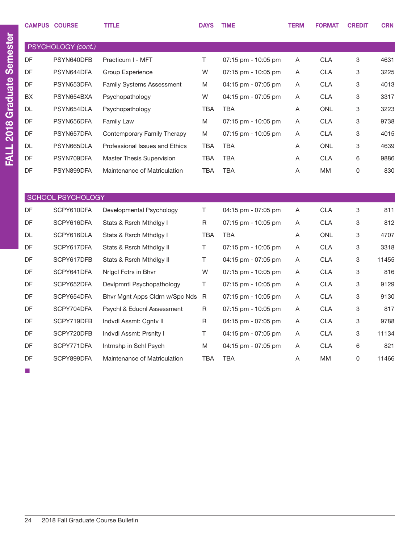|           | <b>CAMPUS COURSE</b>     | <b>TITLE</b>                     | <b>DAYS</b> | <b>TIME</b>           | <b>TERM</b> | <b>FORMAT</b> | <b>CREDIT</b> | <b>CRN</b> |
|-----------|--------------------------|----------------------------------|-------------|-----------------------|-------------|---------------|---------------|------------|
|           | PSYCHOLOGY (cont.)       |                                  |             |                       |             |               |               |            |
| <b>DF</b> | PSYN640DFB               | Practicum I - MFT                | T.          | $07:15$ pm - 10:05 pm | A           | <b>CLA</b>    | 3             | 4631       |
| <b>DF</b> | PSYN644DFA               | Group Experience                 | W           | $07:15$ pm - 10:05 pm | Α           | <b>CLA</b>    | 3             | 3225       |
| <b>DF</b> | PSYN653DFA               | <b>Family Systems Assessment</b> | M           | 04:15 pm - 07:05 pm   | A           | <b>CLA</b>    | 3             | 4013       |
| <b>BX</b> | PSYN654BXA               | Psychopathology                  | W           | 04:15 pm - 07:05 pm   | A           | <b>CLA</b>    | 3             | 3317       |
| <b>DL</b> | PSYN654DLA               | Psychopathology                  | <b>TBA</b>  | <b>TBA</b>            | A           | <b>ONL</b>    | 3             | 3223       |
| <b>DF</b> | PSYN656DFA               | <b>Family Law</b>                | M           | $07:15$ pm - 10:05 pm | Α           | <b>CLA</b>    | 3             | 9738       |
| <b>DF</b> | PSYN657DFA               | Contemporary Family Therapy      | M           | 07:15 pm - 10:05 pm   | A           | <b>CLA</b>    | 3             | 4015       |
| DL        | PSYN665DLA               | Professional Issues and Ethics   | TBA         | <b>TBA</b>            | Α           | <b>ONL</b>    | 3             | 4639       |
| <b>DF</b> | PSYN709DFA               | Master Thesis Supervision        | <b>TBA</b>  | <b>TBA</b>            | Α           | <b>CLA</b>    | 6             | 9886       |
| <b>DF</b> | PSYN899DFA               | Maintenance of Matriculation     | <b>TBA</b>  | <b>TBA</b>            | A           | МM            | 0             | 830        |
|           |                          |                                  |             |                       |             |               |               |            |
|           | <b>SCHOOL PSYCHOLOGY</b> |                                  |             |                       |             |               |               |            |
| <b>DF</b> | SCPY610DFA               | Developmental Psychology         | T.          | 04:15 pm - 07:05 pm   | A           | <b>CLA</b>    | 3             | 811        |
| <b>DF</b> | SCPY616DFA               | Stats & Rsrch Mthdlgy I          | R           | $07:15$ pm - 10:05 pm | A           | <b>CLA</b>    | 3             | 812        |
| <b>DL</b> | SCPY616DLA               | Stats & Rsrch Mthdlgy I          | <b>TBA</b>  | <b>TBA</b>            | Α           | <b>ONL</b>    | 3             | 4707       |
| DF        | SCPY617DFA               | Stats & Rsrch Mthdlgy II         | T.          | 07:15 pm - 10:05 pm   | A           | <b>CLA</b>    | 3             | 3318       |
| <b>DF</b> | SCPY617DFB               | Stats & Rsrch Mthdlgy II         | T.          | 04:15 pm - 07:05 pm   | A           | <b>CLA</b>    | 3             | 11455      |
| <b>DF</b> | SCPY641DFA               | Nrigol Fotrs in Bhyr             | W           | 07:15 pm - 10:05 pm   | A           | <b>CLA</b>    | 3             | 816        |
| <b>DF</b> | SCPY652DFA               | Devlpmntl Psychopathology        | T.          | $07:15$ pm - 10:05 pm | Α           | <b>CLA</b>    | 3             | 9129       |
| <b>DF</b> | SCPY654DFA               | Bhyr Mgnt Apps Cldrn w/Spc Nds R |             | $07:15$ pm - 10:05 pm | Α           | <b>CLA</b>    | 3             | 9130       |
| DF        | SCPY704DFA               | Psychl & Educnl Assessment       | R           | $07:15$ pm - 10:05 pm | A           | <b>CLA</b>    | 3             | 817        |
| <b>DF</b> | SCPY719DFB               | Indvdl Assmt: Cgntv II           | R           | 04:15 pm - 07:05 pm   | A           | <b>CLA</b>    | 3             | 9788       |
| <b>DF</b> | SCPY720DFB               | Indvdl Assmt: Prsnlty I          | T           | 04:15 pm - 07:05 pm   | A           | <b>CLA</b>    | 3             | 11134      |
| <b>DF</b> | SCPY771DFA               | Intrnshp in Schl Psych           | M           | 04:15 pm - 07:05 pm   | A           | <b>CLA</b>    | 6             | 821        |
| <b>DF</b> | SCPY899DFA               | Maintenance of Matriculation     | <b>TBA</b>  | <b>TBA</b>            | A           | МM            | 0             | 11466      |

■

24 2018 Fall Graduate Course Bulletin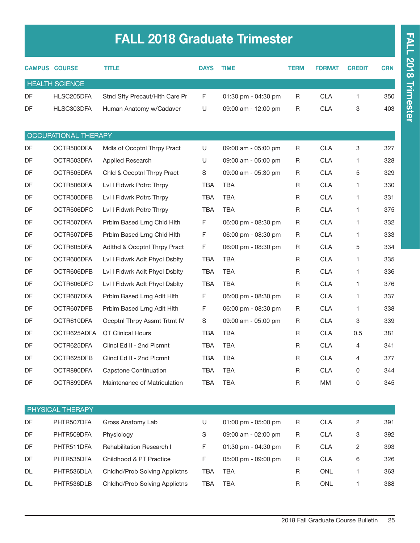# FALL 2018 Graduate Trimester

|           | <b>CAMPUS COURSE</b>  | <b>TITLE</b>                   | <b>DAYS</b> | <b>TIME</b>         | <b>TERM</b> | <b>FORMAT</b> | <b>CREDIT</b>  | <b>CRN</b> |
|-----------|-----------------------|--------------------------------|-------------|---------------------|-------------|---------------|----------------|------------|
|           | <b>HEALTH SCIENCE</b> |                                |             |                     |             |               |                |            |
| <b>DF</b> | HLSC205DFA            | Stnd Sfty Precaut/Hlth Care Pr | F           | 01:30 pm - 04:30 pm | R           | <b>CLA</b>    | $\mathbf{1}$   | 350        |
| DF        | HLSC303DFA            | Human Anatomy w/Cadaver        | U           | 09:00 am - 12:00 pm | R           | <b>CLA</b>    | 3              | 403        |
|           |                       |                                |             |                     |             |               |                |            |
|           | OCCUPATIONAL THERAPY  |                                |             |                     |             |               |                |            |
| DF        | OCTR500DFA            | Mdls of Occptnl Thrpy Pract    | U           | 09:00 am - 05:00 pm | R           | <b>CLA</b>    | 3              | 327        |
| DF        | OCTR503DFA            | Applied Research               | U           | 09:00 am - 05:00 pm | R           | <b>CLA</b>    | $\mathbf{1}$   | 328        |
| DF        | OCTR505DFA            | Chld & Occptnl Thrpy Pract     | S           | 09:00 am - 05:30 pm | R           | <b>CLA</b>    | 5              | 329        |
| DF        | OCTR506DFA            | Lvl I Fldwrk Pdtrc Thrpy       | <b>TBA</b>  | <b>TBA</b>          | R           | <b>CLA</b>    | 1              | 330        |
| DF        | OCTR506DFB            | Lvl I Fldwrk Pdtrc Thrpy       | <b>TBA</b>  | <b>TBA</b>          | R           | <b>CLA</b>    | $\mathbf{1}$   | 331        |
| DF        | OCTR506DFC            | Lvl I Fldwrk Pdtrc Thrpy       | <b>TBA</b>  | <b>TBA</b>          | R           | <b>CLA</b>    | $\mathbf{1}$   | 375        |
| DF        | OCTR507DFA            | Prblm Based Lrng Chld Hlth     | F           | 06:00 pm - 08:30 pm | R           | <b>CLA</b>    | 1              | 332        |
| DF        | OCTR507DFB            | Prblm Based Lrng Chld Hlth     | F           | 06:00 pm - 08:30 pm | R           | <b>CLA</b>    | $\mathbf{1}$   | 333        |
| DF        | OCTR605DFA            | Adlthd & Occptnl Thrpy Pract   | F           | 06:00 pm - 08:30 pm | R           | <b>CLA</b>    | 5              | 334        |
| DF        | OCTR606DFA            | Lvl I Fldwrk Adlt Phycl Dsblty | <b>TBA</b>  | <b>TBA</b>          | R           | <b>CLA</b>    | $\mathbf{1}$   | 335        |
| DF        | OCTR606DFB            | Lvl I Fldwrk Adlt Phycl Dsblty | <b>TBA</b>  | <b>TBA</b>          | R           | <b>CLA</b>    | 1              | 336        |
| DF        | OCTR606DFC            | Lvl I Fldwrk Adlt Phycl Dsblty | <b>TBA</b>  | <b>TBA</b>          | R           | <b>CLA</b>    | $\mathbf{1}$   | 376        |
| DF        | OCTR607DFA            | Prblm Based Lrng Adlt Hith     | F           | 06:00 pm - 08:30 pm | R           | <b>CLA</b>    | $\mathbf{1}$   | 337        |
| DF        | OCTR607DFB            | Prblm Based Lrng Adlt Hith     | F           | 06:00 pm - 08:30 pm | R           | <b>CLA</b>    | $\mathbf{1}$   | 338        |
| DF        | OCTR610DFA            | Occptnl Thrpy Assmt Trtmt IV   | S           | 09:00 am - 05:00 pm | R           | <b>CLA</b>    | 3              | 339        |
| DF        | OCTR625ADFA           | <b>OT Clinical Hours</b>       | <b>TBA</b>  | <b>TBA</b>          | R           | <b>CLA</b>    | 0.5            | 381        |
| DF        | OCTR625DFA            | Clincl Ed II - 2nd Plcmnt      | <b>TBA</b>  | <b>TBA</b>          | R           | <b>CLA</b>    | 4              | 341        |
| DF        | OCTR625DFB            | Clincl Ed II - 2nd Plcmnt      | <b>TBA</b>  | <b>TBA</b>          | R           | <b>CLA</b>    | 4              | 377        |
| DF        | OCTR890DFA            | <b>Capstone Continuation</b>   | TBA         | TBA                 | R           | <b>CLA</b>    | 0              | 344        |
| DF        | OCTR899DFA            | Maintenance of Matriculation   | <b>TBA</b>  | <b>TBA</b>          | R           | MM            | $\mathsf 0$    | 345        |
|           |                       |                                |             |                     |             |               |                |            |
|           | PHYSICAL THERAPY      |                                |             |                     |             |               |                |            |
| DF        | PHTR507DFA            | Gross Anatomy Lab              | U           | 01:00 pm - 05:00 pm | R           | <b>CLA</b>    | $\overline{2}$ | 391        |
| DF        | PHTR509DFA            | Physiology                     | S           | 09:00 am - 02:00 pm | R           | <b>CLA</b>    | 3              | 392        |
| DF        | PHTR511DFA            | Rehabilitation Research I      | F           | 01:30 pm - 04:30 pm | R           | <b>CLA</b>    | $\overline{c}$ | 393        |
| DF        | PHTR535DFA            | Childhood & PT Practice        | F           | 05:00 pm - 09:00 pm | R           | <b>CLA</b>    | 6              | 326        |
| DL        | PHTR536DLA            | Chidhd/Prob Solving Applictns  | TBA         | <b>TBA</b>          | R           | ONL           | 1              | 363        |
| DL        | PHTR536DLB            | Chidhd/Prob Solving Applictns  | <b>TBA</b>  | <b>TBA</b>          | R           | ONL           | 1              | 388        |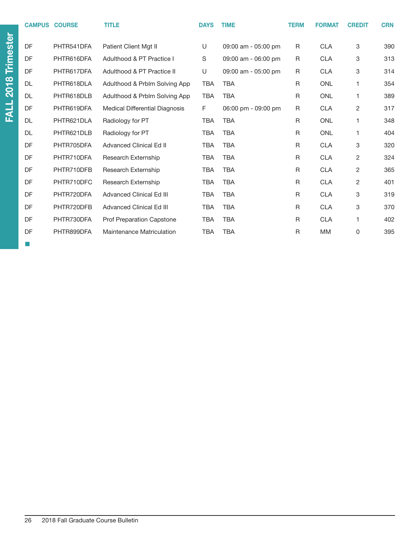| <b>CAMPUS</b> | <b>COURSE</b> | <b>TITLE</b>                          | <b>DAYS</b> | <b>TIME</b>         | <b>TERM</b>  | <b>FORMAT</b> | <b>CREDIT</b>  | <b>CRN</b> |
|---------------|---------------|---------------------------------------|-------------|---------------------|--------------|---------------|----------------|------------|
| DF            | PHTR541DFA    | Patient Client Mgt II                 | U           | 09:00 am - 05:00 pm | R.           | <b>CLA</b>    | 3              | 390        |
| DF            | PHTR616DFA    | Adulthood & PT Practice I             | S           | 09:00 am - 06:00 pm | R            | <b>CLA</b>    | 3              | 313        |
| DF            | PHTR617DFA    | Adulthood & PT Practice II            | U           | 09:00 am - 05:00 pm | R            | <b>CLA</b>    | 3              | 314        |
| DL            | PHTR618DLA    | Adulthood & Prblm Solving App         | <b>TBA</b>  | <b>TBA</b>          | R            | <b>ONL</b>    | 1              | 354        |
| DL            | PHTR618DLB    | Adulthood & Prblm Solving App         | <b>TBA</b>  | <b>TBA</b>          | R            | <b>ONL</b>    | 1              | 389        |
| DF            | PHTR619DFA    | <b>Medical Differential Diagnosis</b> | F           | 06:00 pm - 09:00 pm | $\mathsf{R}$ | <b>CLA</b>    | $\overline{2}$ | 317        |
| DL            | PHTR621DLA    | Radiology for PT                      | <b>TBA</b>  | <b>TBA</b>          | $\mathsf{R}$ | <b>ONL</b>    | 1              | 348        |
| DL            | PHTR621DLB    | Radiology for PT                      | <b>TBA</b>  | <b>TBA</b>          | R            | <b>ONL</b>    | 1              | 404        |
| DF            | PHTR705DFA    | <b>Advanced Clinical Ed II</b>        | <b>TBA</b>  | <b>TBA</b>          | R            | <b>CLA</b>    | 3              | 320        |
| DF            | PHTR710DFA    | Research Externship                   | <b>TBA</b>  | <b>TBA</b>          | R            | <b>CLA</b>    | 2              | 324        |
| DF            | PHTR710DFB    | Research Externship                   | <b>TBA</b>  | <b>TBA</b>          | R            | <b>CLA</b>    | $\overline{2}$ | 365        |
| DF            | PHTR710DFC    | Research Externship                   | <b>TBA</b>  | <b>TBA</b>          | $\mathsf R$  | <b>CLA</b>    | $\overline{c}$ | 401        |
| DF            | PHTR720DFA    | <b>Advanced Clinical Ed III</b>       | <b>TBA</b>  | <b>TBA</b>          | R            | <b>CLA</b>    | 3              | 319        |
| DF            | PHTR720DFB    | <b>Advanced Clinical Ed III</b>       | <b>TBA</b>  | <b>TBA</b>          | $\mathsf{R}$ | <b>CLA</b>    | 3              | 370        |
| DF            | PHTR730DFA    | Prof Preparation Capstone             | <b>TBA</b>  | <b>TBA</b>          | $\mathsf{R}$ | <b>CLA</b>    | 1              | 402        |
| DF            | PHTR899DFA    | <b>Maintenance Matriculation</b>      | <b>TBA</b>  | <b>TBA</b>          | $\mathsf{R}$ | <b>MM</b>     | $\mathbf 0$    | 395        |

■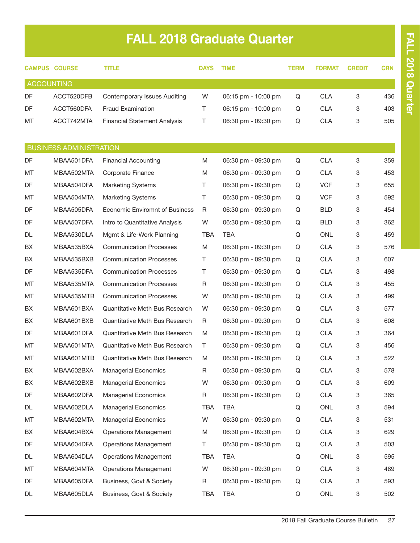# FALL 2018 Graduate Quarter

|                   | <b>CAMPUS COURSE</b>           | TITLE                               | <b>DAYS</b> | <b>TIME</b>         | TERM | <b>FORMAT</b> | <b>CREDIT</b> | <b>CRN</b> |
|-------------------|--------------------------------|-------------------------------------|-------------|---------------------|------|---------------|---------------|------------|
| <b>ACCOUNTING</b> |                                |                                     |             |                     |      |               |               |            |
| <b>DF</b>         | ACCT520DFB                     | <b>Contemporary Issues Auditing</b> | W           | 06:15 pm - 10:00 pm | Q    | <b>CLA</b>    | 3             | 436        |
| <b>DF</b>         | ACCT560DFA                     | <b>Fraud Examination</b>            | Τ           | 06:15 pm - 10:00 pm | Q    | <b>CLA</b>    | 3             | 403        |
| МT                | ACCT742MTA                     | <b>Financial Statement Analysis</b> | Τ           | 06:30 pm - 09:30 pm | Q    | <b>CLA</b>    | 3             | 505        |
|                   | <b>BUSINESS ADMINISTRATION</b> |                                     |             |                     |      |               |               |            |
| <b>DF</b>         | MBAA501DFA                     | <b>Financial Accounting</b>         | M           | 06:30 pm - 09:30 pm | Q    | <b>CLA</b>    | 3             | 359        |
| МT                | MBAA502MTA                     | Corporate Finance                   | M           | 06:30 pm - 09:30 pm | Q    | <b>CLA</b>    | 3             | 453        |
| DF                | MBAA504DFA                     | <b>Marketing Systems</b>            | Τ           | 06:30 pm - 09:30 pm | Q    | <b>VCF</b>    | 3             | 655        |
| МT                | MBAA504MTA                     | <b>Marketing Systems</b>            | Τ           | 06:30 pm - 09:30 pm | Q    | <b>VCF</b>    | 3             | 592        |
| DF                | MBAA505DFA                     | Economic Enviromnt of Business      | R           | 06:30 pm - 09:30 pm | Q    | <b>BLD</b>    | 3             | 454        |
| <b>DF</b>         | MBAA507DFA                     | Intro to Quantitative Analysis      | W           | 06:30 pm - 09:30 pm | Q    | <b>BLD</b>    | 3             | 362        |
| DL                | MBAA530DLA                     | Mgmt & Life-Work Planning           | <b>TBA</b>  | <b>TBA</b>          | Q    | <b>ONL</b>    | 3             | 459        |
| BХ                | MBAA535BXA                     | <b>Communication Processes</b>      | M           | 06:30 pm - 09:30 pm | Q    | <b>CLA</b>    | 3             | 576        |
| BX                | MBAA535BXB                     | <b>Communication Processes</b>      | Τ           | 06:30 pm - 09:30 pm | Q    | <b>CLA</b>    | 3             | 607        |
| DF                | MBAA535DFA                     | <b>Communication Processes</b>      | Т           | 06:30 pm - 09:30 pm | Q    | <b>CLA</b>    | 3             | 498        |
| МT                | MBAA535MTA                     | <b>Communication Processes</b>      | R           | 06:30 pm - 09:30 pm | Q    | <b>CLA</b>    | 3             | 455        |
| МT                | MBAA535MTB                     | <b>Communication Processes</b>      | W           | 06:30 pm - 09:30 pm | Q    | <b>CLA</b>    | 3             | 499        |
| BX                | MBAA601BXA                     | Quantitative Meth Bus Research      | W           | 06:30 pm - 09:30 pm | Q    | <b>CLA</b>    | 3             | 577        |
| BX                | MBAA601BXB                     | Quantitative Meth Bus Research      | R           | 06:30 pm - 09:30 pm | Q    | <b>CLA</b>    | 3             | 608        |
| DF                | MBAA601DFA                     | Quantitative Meth Bus Research      | M           | 06:30 pm - 09:30 pm | Q    | <b>CLA</b>    | 3             | 364        |
| МT                | MBAA601MTA                     | Quantitative Meth Bus Research      | Τ           | 06:30 pm - 09:30 pm | Q    | <b>CLA</b>    | 3             | 456        |
|                   |                                |                                     |             |                     |      |               | 3             |            |
| МT                | MBAA601MTB                     | Quantitative Meth Bus Research      | M           | 06:30 pm - 09:30 pm | Q    | <b>CLA</b>    |               | 522        |
| BX                | MBAA602BXA                     | <b>Managerial Economics</b>         | R           | 06:30 pm - 09:30 pm | Q    | <b>CLA</b>    | 3             | 578        |
| BX                | MBAA602BXB                     | <b>Managerial Economics</b>         | W           | 06:30 pm - 09:30 pm | Q    | <b>CLA</b>    | 3             | 609        |
| DF                | MBAA602DFA                     | Managerial Economics                | R           | 06:30 pm - 09:30 pm | Q    | <b>CLA</b>    | 3             | 365        |
| DL                | MBAA602DLA                     | <b>Managerial Economics</b>         | TBA         | TBA                 | Q    | ONL           | 3             | 594        |
| МT                | MBAA602MTA                     | Managerial Economics                | W           | 06:30 pm - 09:30 pm | Q    | <b>CLA</b>    | 3             | 531        |
| BX                | MBAA604BXA                     | <b>Operations Management</b>        | M           | 06:30 pm - 09:30 pm | Q    | <b>CLA</b>    | 3             | 629        |
| DF                | MBAA604DFA                     | <b>Operations Management</b>        | Τ           | 06:30 pm - 09:30 pm | Q    | <b>CLA</b>    | 3             | 503        |
| DL                | MBAA604DLA                     | <b>Operations Management</b>        | TBA         | TBA                 | Q    | ONL           | 3             | 595        |
| МT                | MBAA604MTA                     | <b>Operations Management</b>        | W           | 06:30 pm - 09:30 pm | Q    | <b>CLA</b>    | 3             | 489        |
| DF                | MBAA605DFA                     | Business, Govt & Society            | R           | 06:30 pm - 09:30 pm | Q    | <b>CLA</b>    | 3             | 593        |
| DL                | MBAA605DLA                     | Business, Govt & Society            | TBA         | <b>TBA</b>          | Q    | ONL           | 3             | 502        |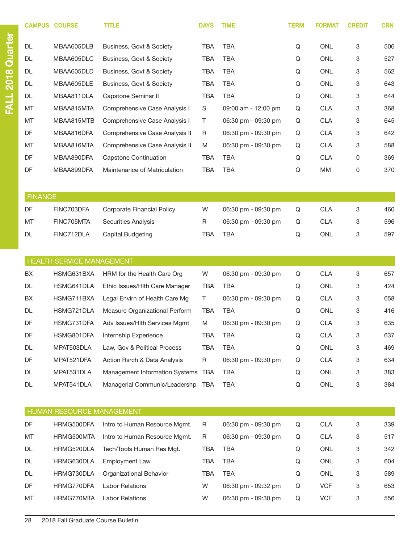|                | <b>CAMPUS COURSE</b>      | <b>TITLE</b>                       | <b>DAYS</b> | <b>TIME</b>         | <b>TERM</b> | <b>FORMAT</b> | <b>CREDIT</b> | <b>CRN</b> |
|----------------|---------------------------|------------------------------------|-------------|---------------------|-------------|---------------|---------------|------------|
| DL             | MBAA605DLB                | Business, Govt & Society           | <b>TBA</b>  | <b>TBA</b>          | Q           | <b>ONL</b>    | 3             | 506        |
| DL             | MBAA605DLC                | Business, Govt & Society           | <b>TBA</b>  | <b>TBA</b>          | Q           | <b>ONL</b>    | 3             | 527        |
| DL             | MBAA605DLD                | Business, Govt & Society           | <b>TBA</b>  | <b>TBA</b>          | Q           | <b>ONL</b>    | 3             | 562        |
| <b>DL</b>      | MBAA605DLE                | Business, Govt & Society           | <b>TBA</b>  | <b>TBA</b>          | Q           | <b>ONL</b>    | 3             | 643        |
| DL             | MBAA811DLA                | Capstone Seminar II                | <b>TBA</b>  | <b>TBA</b>          | $\mathsf Q$ | ONL           | 3             | 644        |
| MT             | MBAA815MTA                | Comprehensive Case Analysis I      | $\mathsf S$ | 09:00 am - 12:00 pm | Q           | <b>CLA</b>    | 3             | 368        |
| МT             | MBAA815MTB                | Comprehensive Case Analysis I      | T           | 06:30 pm - 09:30 pm | Q           | <b>CLA</b>    | 3             | 645        |
| DF             | MBAA816DFA                | Comprehensive Case Analysis II     | R           | 06:30 pm - 09:30 pm | Q           | <b>CLA</b>    | 3             | 642        |
| МT             | MBAA816MTA                | Comprehensive Case Analysis II     | M           | 06:30 pm - 09:30 pm | Q           | <b>CLA</b>    | 3             | 588        |
| DF             | MBAA890DFA                | <b>Capstone Continuation</b>       | <b>TBA</b>  | <b>TBA</b>          | Q           | <b>CLA</b>    | 0             | 369        |
| DF             | MBAA899DFA                | Maintenance of Matriculation       | <b>TBA</b>  | <b>TBA</b>          | $\mathsf Q$ | MM            | 0             | 370        |
|                |                           |                                    |             |                     |             |               |               |            |
| <b>FINANCE</b> |                           |                                    |             |                     |             |               |               |            |
| DF             | FINC703DFA                | Corporate Financial Policy         | W           | 06:30 pm - 09:30 pm | Q           | <b>CLA</b>    | 3             | 460        |
| MT             | FINC705MTA                | Securities Analysis                | R           | 06:30 pm - 09:30 pm | Q           | <b>CLA</b>    | 3             | 596        |
| DL             | FINC712DLA                | Capital Budgeting                  | <b>TBA</b>  | <b>TBA</b>          | $\mathsf Q$ | <b>ONL</b>    | 3             | 597        |
|                |                           |                                    |             |                     |             |               |               |            |
|                | HEALTH SERVICE MANAGEMENT |                                    |             |                     |             |               |               |            |
| BX             | HSMG631BXA                | HRM for the Health Care Org        | W           | 06:30 pm - 09:30 pm | Q           | <b>CLA</b>    | 3             | 657        |
| DL             | HSMG641DLA                | Ethic Issues/HIth Care Manager     | <b>TBA</b>  | <b>TBA</b>          | Q           | <b>ONL</b>    | 3             | 424        |
| BX             | HSMG711BXA                | Legal Envirn of Health Care Mg     | Τ           | 06:30 pm - 09:30 pm | $\mathsf Q$ | <b>CLA</b>    | 3             | 658        |
| DL             | HSMG721DLA                | Measure Organizational Perform     | <b>TBA</b>  | TBA                 | Q           | ONL           | 3             | 416        |
| DF             | HSMG731DFA                | Adv Issues/Hith Services Mgmt      | M           | 06:30 pm - 09:30 pm | Q           | <b>CLA</b>    | 3             | 635        |
| DF             | HSMG801DFA                | Internship Experience              | <b>TBA</b>  | <b>TBA</b>          | Q           | <b>CLA</b>    | 3             | 637        |
| DL             | MPAT503DLA                | Law, Gov & Political Process       | <b>TBA</b>  | <b>TBA</b>          | Q           | ONL           | 3             | 469        |
| DF             | MPAT521DFA                | Action Rsrch & Data Analysis       | R           | 06:30 pm - 09:30 pm | Q           | <b>CLA</b>    | 3             | 634        |
| DL             | MPAT531DLA                | Management Information Systems TBA |             | <b>TBA</b>          | Q           | <b>ONL</b>    | 3             | 383        |
| DL             | MPAT541DLA                | Managerial Communic/Leadershp TBA  |             | <b>TBA</b>          | Q           | ONL           | 3             | 384        |
|                |                           |                                    |             |                     |             |               |               |            |
|                | HUMAN RESOURCE MANAGEMENT |                                    |             |                     |             |               |               |            |
| DF             | HRMG500DFA                | Intro to Human Resource Mgmt.      | R           | 06:30 pm - 09:30 pm | Q           | <b>CLA</b>    | 3             | 339        |
| МT             | HRMG500MTA                | Intro to Human Resource Mgmt.      | R           | 06:30 pm - 09:30 pm | Q           | <b>CLA</b>    | 3             | 517        |
| DL             | HRMG520DLA                | Tech/Tools Human Res Mgt.          | <b>TBA</b>  | <b>TBA</b>          | Q           | ONL           | 3             | 342        |
| DL             | HRMG630DLA                | <b>Employment Law</b>              | <b>TBA</b>  | TBA                 | Q           | ONL           | 3             | 604        |
| DL             | HRMG730DLA                | Organizational Behavior            | <b>TBA</b>  | TBA                 | Q           | ONL           | 3             | 589        |
| DF             | HRMG770DFA                | <b>Labor Relations</b>             | W           | 06:30 pm - 09:32 pm | Q           | <b>VCF</b>    | 3             | 653        |
| MT             | HRMG770MTA                | <b>Labor Relations</b>             | W           | 06:30 pm - 09:30 pm | Q           | <b>VCF</b>    | 3             | 556        |

FALL 2018 Quarter

FALL 2018 Quarter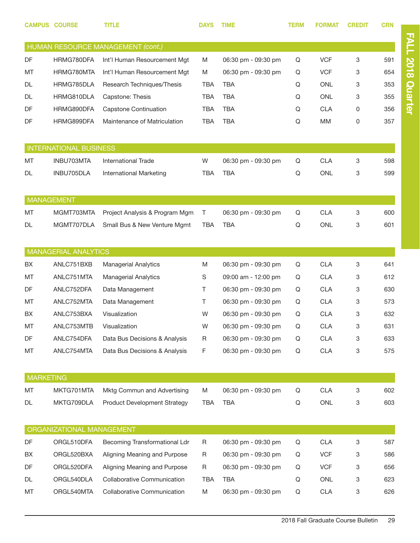| <b>CAMPUS</b>    | <b>COURSE</b>                           | TITLE                               | <b>DAYS</b> | <b>TIME</b>         | <b>TERM</b> | <b>FORMAT</b> | <b>CREDIT</b> | <b>CRN</b> |
|------------------|-----------------------------------------|-------------------------------------|-------------|---------------------|-------------|---------------|---------------|------------|
|                  |                                         | HUMAN RESOURCE MANAGEMENT (cont.)   |             |                     |             |               |               |            |
| DF               | HRMG780DFA                              | Int'l Human Resourcement Mgt        | M           | 06:30 pm - 09:30 pm | Q           | <b>VCF</b>    | 3             | 591        |
| <b>MT</b>        | HRMG780MTA                              | Int'l Human Resourcement Mgt        | M           | 06:30 pm - 09:30 pm | Q           | <b>VCF</b>    | 3             | 654        |
| <b>DL</b>        | HRMG785DLA                              | Research Techniques/Thesis          | <b>TBA</b>  | <b>TBA</b>          | Q           | <b>ONL</b>    | 3             | 353        |
| DL               | HRMG810DLA                              | Capstone: Thesis                    | <b>TBA</b>  | <b>TBA</b>          | Q           | <b>ONL</b>    | 3             | 355        |
| DF               | HRMG890DFA                              | <b>Capstone Continuation</b>        | <b>TBA</b>  | <b>TBA</b>          | Q           | <b>CLA</b>    | 0             | 356        |
| DF               | HRMG899DFA                              | Maintenance of Matriculation        | <b>TBA</b>  | <b>TBA</b>          | Q           | <b>MM</b>     | 0             | 357        |
|                  | <b>INTERNATIONAL BUSINESS</b>           |                                     |             |                     |             |               |               |            |
| <b>MT</b>        | INBU703MTA                              | <b>International Trade</b>          | W           | 06:30 pm - 09:30 pm | Q           | <b>CLA</b>    | 3             | 598        |
| DL               | INBU705DLA                              | International Marketing             | TBA         | <b>TBA</b>          | Q           | <b>ONL</b>    | 3             | 599        |
|                  |                                         |                                     |             |                     |             |               |               |            |
|                  | <b>MANAGEMENT</b>                       |                                     |             |                     |             |               |               |            |
| MT               | MGMT703MTA                              | Project Analysis & Program Mgm      | Τ           | 06:30 pm - 09:30 pm | Q           | <b>CLA</b>    | 3             | 600        |
| DL               | MGMT707DLA                              | Small Bus & New Venture Mgmt        | <b>TBA</b>  | <b>TBA</b>          | Q           | <b>ONL</b>    | 3             | 601        |
|                  | <b>MANAGERIAL ANALYTICS</b>             |                                     |             |                     |             |               |               |            |
| <b>BX</b>        | ANLC751BXB                              | <b>Managerial Analytics</b>         | M           | 06:30 pm - 09:30 pm | Q           | <b>CLA</b>    | 3             | 641        |
| <b>MT</b>        | ANLC751MTA                              | <b>Managerial Analytics</b>         | S           | 09:00 am - 12:00 pm | Q           | <b>CLA</b>    | 3             | 612        |
| DF               | ANLC752DFA                              | Data Management                     | T.          | 06:30 pm - 09:30 pm | Q           | <b>CLA</b>    | 3             | 630        |
| МT               | ANLC752MTA                              | Data Management                     | T.          | 06:30 pm - 09:30 pm | Q           | <b>CLA</b>    | 3             | 573        |
| BX.              | ANLC753BXA                              | Visualization                       | W           | 06:30 pm - 09:30 pm | Q           | <b>CLA</b>    | 3             | 632        |
| MT               | ANLC753MTB                              | Visualization                       | W           | 06:30 pm - 09:30 pm | Q           | <b>CLA</b>    | 3             | 631        |
| DF               | ANLC754DFA                              | Data Bus Decisions & Analysis       | R           | 06:30 pm - 09:30 pm | Q           | <b>CLA</b>    | 3             | 633        |
| МT               | ANLC754MTA                              | Data Bus Decisions & Analysis       | F           | 06:30 pm - 09:30 pm | Q           | <b>CLA</b>    | 3             | 575        |
|                  |                                         |                                     |             |                     |             |               |               |            |
| <b>MARKETING</b> |                                         |                                     |             |                     |             |               |               |            |
| MT               | MKTG701MTA                              | Mktg Commun and Advertising         | M           | 06:30 pm - 09:30 pm | Q           | <b>CLA</b>    | 3             | 602        |
| DL               | MKTG709DLA                              | <b>Product Development Strategy</b> | <b>TBA</b>  | <b>TBA</b>          | Q           | ONL           | 3             | 603        |
|                  |                                         |                                     |             |                     |             |               |               |            |
| DF               | ORGANIZATIONAL MANAGEMENT<br>ORGL510DFA | Becoming Transformational Ldr       | R           | 06:30 pm - 09:30 pm | Q           | <b>CLA</b>    | 3             | 587        |
| BX               | ORGL520BXA                              | Aligning Meaning and Purpose        | R           | 06:30 pm - 09:30 pm | Q           | <b>VCF</b>    | 3             | 586        |
| DF               | ORGL520DFA                              | Aligning Meaning and Purpose        | R           | 06:30 pm - 09:30 pm | Q           | <b>VCF</b>    | 3             | 656        |
| DL               | ORGL540DLA                              | <b>Collaborative Communication</b>  | <b>TBA</b>  | <b>TBA</b>          | Q           | ONL           | 3             | 623        |
| MT               | ORGL540MTA                              | Collaborative Communication         | M           | 06:30 pm - 09:30 pm | Q           | <b>CLA</b>    | 3             | 626        |

FALL 2018 Quarter FALL 2018 Quarter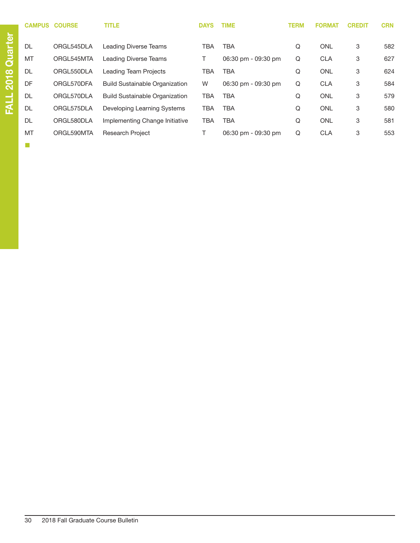| <b>CAMPUS</b> | <b>COURSE</b> | <b>TITLE</b>                          | <b>DAYS</b> | <b>TIME</b>         | <b>TERM</b> | <b>FORMAT</b> | <b>CREDIT</b> | <b>CRN</b> |
|---------------|---------------|---------------------------------------|-------------|---------------------|-------------|---------------|---------------|------------|
| DL            | ORGL545DLA    | Leading Diverse Teams                 | TBA         | <b>TBA</b>          | Q           | <b>ONL</b>    | 3             | 582        |
| MT            | ORGL545MTA    | Leading Diverse Teams                 |             | 06:30 pm - 09:30 pm | Q           | <b>CLA</b>    | 3             | 627        |
| DL            | ORGL550DLA    | <b>Leading Team Projects</b>          | TBA         | <b>TBA</b>          | Q           | <b>ONL</b>    | 3             | 624        |
| DF            | ORGL570DFA    | <b>Build Sustainable Organization</b> | W           | 06:30 pm - 09:30 pm | Q           | <b>CLA</b>    | 3             | 584        |
| DL            | ORGL570DLA    | <b>Build Sustainable Organization</b> | TBA         | <b>TBA</b>          | Q           | <b>ONL</b>    | 3             | 579        |
| DL            | ORGL575DLA    | Developing Learning Systems           | TBA         | <b>TBA</b>          | Q           | <b>ONL</b>    | 3             | 580        |
| DL            | ORGL580DLA    | Implementing Change Initiative        | TBA         | <b>TBA</b>          | Q           | <b>ONL</b>    | 3             | 581        |
| MT            | ORGL590MTA    | <b>Research Project</b>               |             | 06:30 pm - 09:30 pm | Q           | <b>CLA</b>    | 3             | 553        |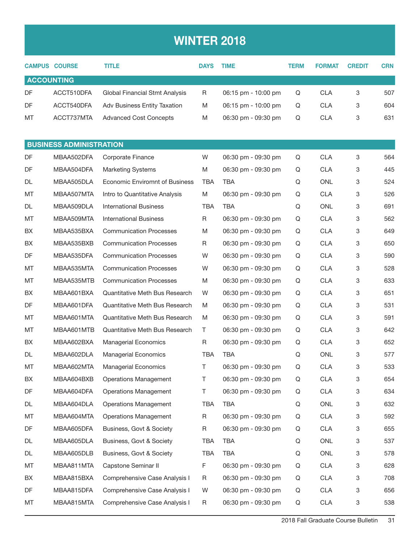## WINTER 2018

|                   | <b>CAMPUS COURSE</b>           | <b>TITLE</b>                          | <b>DAYS</b> | <b>TIME</b>         | TERM | <b>FORMAT</b> | <b>CREDIT</b> | <b>CRN</b> |
|-------------------|--------------------------------|---------------------------------------|-------------|---------------------|------|---------------|---------------|------------|
| <b>ACCOUNTING</b> |                                |                                       |             |                     |      |               |               |            |
| DF                | ACCT510DFA                     | Global Financial Stmt Analysis        | R           | 06:15 pm - 10:00 pm | Q    | <b>CLA</b>    | 3             | 507        |
| DF                | ACCT540DFA                     | Adv Business Entity Taxation          | M           | 06:15 pm - 10:00 pm | Q    | <b>CLA</b>    | 3             | 604        |
| MT                | ACCT737MTA                     | <b>Advanced Cost Concepts</b>         | M           | 06:30 pm - 09:30 pm | Q    | <b>CLA</b>    | 3             | 631        |
|                   |                                |                                       |             |                     |      |               |               |            |
|                   | <b>BUSINESS ADMINISTRATION</b> |                                       |             |                     |      |               |               |            |
| DF                | MBAA502DFA                     | Corporate Finance                     | W           | 06:30 pm - 09:30 pm | Q    | <b>CLA</b>    | 3             | 564        |
| DF                | MBAA504DFA                     | <b>Marketing Systems</b>              | M           | 06:30 pm - 09:30 pm | Q    | <b>CLA</b>    | 3             | 445        |
| DL                | MBAA505DLA                     | <b>Economic Enviromnt of Business</b> | TBA         | <b>TBA</b>          | Q    | <b>ONL</b>    | 3             | 524        |
| МT                | MBAA507MTA                     | Intro to Quantitative Analysis        | M           | 06:30 pm - 09:30 pm | Q    | <b>CLA</b>    | 3             | 526        |
| DL                | MBAA509DLA                     | <b>International Business</b>         | <b>TBA</b>  | <b>TBA</b>          | Q    | <b>ONL</b>    | 3             | 691        |
| МT                | MBAA509MTA                     | <b>International Business</b>         | R           | 06:30 pm - 09:30 pm | Q    | <b>CLA</b>    | 3             | 562        |
| BХ                | MBAA535BXA                     | <b>Communication Processes</b>        | M           | 06:30 pm - 09:30 pm | Q    | <b>CLA</b>    | 3             | 649        |
| BX                | MBAA535BXB                     | <b>Communication Processes</b>        | R           | 06:30 pm - 09:30 pm | Q    | <b>CLA</b>    | 3             | 650        |
| DF                | MBAA535DFA                     | <b>Communication Processes</b>        | W           | 06:30 pm - 09:30 pm | Q    | <b>CLA</b>    | 3             | 590        |
| МT                | MBAA535MTA                     | <b>Communication Processes</b>        | W           | 06:30 pm - 09:30 pm | Q    | <b>CLA</b>    | 3             | 528        |
| МT                | MBAA535MTB                     | <b>Communication Processes</b>        | M           | 06:30 pm - 09:30 pm | Q    | <b>CLA</b>    | 3             | 633        |
| BX                | MBAA601BXA                     | Quantitative Meth Bus Research        | W           | 06:30 pm - 09:30 pm | Q    | <b>CLA</b>    | 3             | 651        |
| DF                | MBAA601DFA                     | Quantitative Meth Bus Research        | M           | 06:30 pm - 09:30 pm | Q    | <b>CLA</b>    | 3             | 531        |
| МT                | MBAA601MTA                     | Quantitative Meth Bus Research        | M           | 06:30 pm - 09:30 pm | Q    | <b>CLA</b>    | 3             | 591        |
| МT                | MBAA601MTB                     | Quantitative Meth Bus Research        | Τ           | 06:30 pm - 09:30 pm | Q    | <b>CLA</b>    | 3             | 642        |
| BX                | MBAA602BXA                     | <b>Managerial Economics</b>           | R           | 06:30 pm - 09:30 pm | Q    | <b>CLA</b>    | 3             | 652        |
| DL                | MBAA602DLA                     | <b>Managerial Economics</b>           | <b>TBA</b>  | <b>TBA</b>          | Q    | <b>ONL</b>    | 3             | 577        |
| МT                | MBAA602MTA                     | <b>Managerial Economics</b>           | Τ           | 06:30 pm - 09:30 pm | Q    | <b>CLA</b>    | 3             | 533        |
| BX                | MBAA604BXB                     | <b>Operations Management</b>          | Τ           | 06:30 pm - 09:30 pm | Q    | <b>CLA</b>    | 3             | 654        |
| DF                | MBAA604DFA                     | <b>Operations Management</b>          | Τ           | 06:30 pm - 09:30 pm | Q    | <b>CLA</b>    | 3             | 634        |
| DL                | MBAA604DLA                     | <b>Operations Management</b>          | TBA         | TBA                 | Q    | <b>ONL</b>    | 3             | 632        |
| МT                | MBAA604MTA                     | <b>Operations Management</b>          | R           | 06:30 pm - 09:30 pm | Q    | <b>CLA</b>    | 3             | 592        |
| DF                | MBAA605DFA                     | Business, Govt & Society              | $\mathsf R$ | 06:30 pm - 09:30 pm | Q    | <b>CLA</b>    | 3             | 655        |
| DL                | MBAA605DLA                     | Business, Govt & Society              | TBA         | <b>TBA</b>          | Q    | <b>ONL</b>    | 3             | 537        |
| DL                | MBAA605DLB                     | Business, Govt & Society              | TBA         | <b>TBA</b>          | Q    | ONL           | 3             | 578        |
| МT                | MBAA811MTA                     | Capstone Seminar II                   | F           | 06:30 pm - 09:30 pm | Q    | <b>CLA</b>    | 3             | 628        |
| BX                | MBAA815BXA                     | Comprehensive Case Analysis I         | R           | 06:30 pm - 09:30 pm | Q    | <b>CLA</b>    | 3             | 708        |
| DF                | MBAA815DFA                     | Comprehensive Case Analysis I         | W           | 06:30 pm - 09:30 pm | Q    | <b>CLA</b>    | 3             | 656        |
| MT                | MBAA815MTA                     | Comprehensive Case Analysis I         | R           | 06:30 pm - 09:30 pm | Q    | <b>CLA</b>    | 3             | 538        |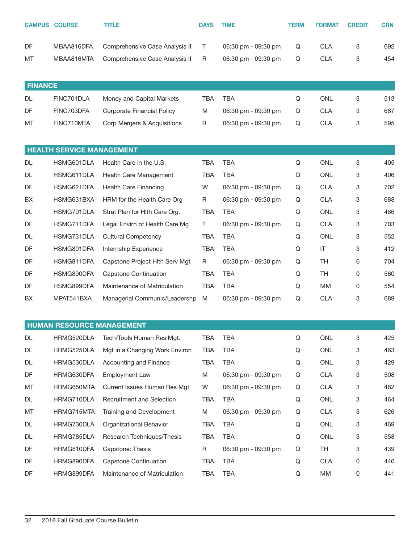|                | <b>CAMPUS COURSE</b>             | <b>TITLE</b>                      | <b>DAYS</b> | <b>TIME</b>         | <b>TERM</b> | <b>FORMAT</b> | <b>CREDIT</b> | <b>CRN</b> |
|----------------|----------------------------------|-----------------------------------|-------------|---------------------|-------------|---------------|---------------|------------|
| DF             | MBAA816DFA                       | Comprehensive Case Analysis II    | Τ           | 06:30 pm - 09:30 pm | Q           | <b>CLA</b>    | 3             | 692        |
| MT             | MBAA816MTA                       | Comprehensive Case Analysis II    | R           | 06:30 pm - 09:30 pm | Q           | <b>CLA</b>    | 3             | 454        |
| <b>FINANCE</b> |                                  |                                   |             |                     |             |               |               |            |
| DL             | FINC701DLA                       | Money and Capital Markets         | <b>TBA</b>  | <b>TBA</b>          | Q           | <b>ONL</b>    | 3             | 513        |
| DF             | FINC703DFA                       | <b>Corporate Financial Policy</b> | M           | 06:30 pm - 09:30 pm | Q           | <b>CLA</b>    | 3             | 687        |
| MT             | FINC710MTA                       | Corp Mergers & Acquisitions       | R           | 06:30 pm - 09:30 pm | Q           | <b>CLA</b>    | 3             | 595        |
|                | <b>HEALTH SERVICE MANAGEMENT</b> |                                   |             |                     |             |               |               |            |
| DL             | HSMG601DLA                       | Health Care in the U.S.           | <b>TBA</b>  | <b>TBA</b>          | Q           | <b>ONL</b>    | 3             | 405        |
| DL             | HSMG611DLA                       | Health Care Management            | <b>TBA</b>  | <b>TBA</b>          | Q           | <b>ONL</b>    | 3             | 406        |
| DF             | HSMG621DFA                       | <b>Health Care Financing</b>      | W           | 06:30 pm - 09:30 pm | Q           | <b>CLA</b>    | 3             | 702        |
| BX             | HSMG631BXA                       | HRM for the Health Care Org       | R           | 06:30 pm - 09:30 pm | Q           | <b>CLA</b>    | 3             | 688        |
| DL             | HSMG701DLA                       | Strat Plan for Hith Care Org.     | <b>TBA</b>  | <b>TBA</b>          | Q           | ONL           | 3             | 486        |
| DF             | HSMG711DFA                       | Legal Envirn of Health Care Mg    | T.          | 06:30 pm - 09:30 pm | Q           | <b>CLA</b>    | 3             | 703        |
| DL             | HSMG731DLA                       | <b>Cultural Competency</b>        | <b>TBA</b>  | <b>TBA</b>          | Q           | <b>ONL</b>    | 3             | 552        |
| DF             | HSMG801DFA                       | Internship Experience             | <b>TBA</b>  | <b>TBA</b>          | Q           | IT            | 3             | 412        |
| DF             | HSMG811DFA                       | Capstone Project Hlth Serv Mgt    | R           | 06:30 pm - 09:30 pm | Q           | <b>TH</b>     | 6             | 704        |
| DF             | HSMG890DFA                       | Capstone Continuation             | TBA         | <b>TBA</b>          | Q           | <b>TH</b>     | 0             | 560        |
| DF             | HSMG899DFA                       | Maintenance of Matriculation      | <b>TBA</b>  | <b>TBA</b>          | Q           | МM            | 0             | 554        |
| BX             | MPAT541BXA                       | Managerial Communic/Leadershp     | M           | 06:30 pm - 09:30 pm | Q           | <b>CLA</b>    | 3             | 689        |
|                | <b>HUMAN RESOURCE MANAGEMENT</b> |                                   |             |                     |             |               |               |            |
| DL             | HRMG520DLA                       | Tech/Tools Human Res Mgt.         | <b>TBA</b>  | <b>TBA</b>          | Q           | ONL           | 3             | 425        |
| DL             | HRMG525DLA                       | Mgt in a Changing Work Environ    | TBA         | <b>TBA</b>          | Q           | ONL           | 3             | 463        |
| DL             | HRMG530DLA                       | Accounting and Finance            | TBA         | <b>TBA</b>          | Q           | ONL           | 3             | 429        |
| DF             | HRMG630DFA                       | <b>Employment Law</b>             | M           | 06:30 pm - 09:30 pm | Q           | <b>CLA</b>    | 3             | 508        |
| MT             | HRMG650MTA                       | Current Issues Human Res Mgt      | W           | 06:30 pm - 09:30 pm | Q           | <b>CLA</b>    | 3             | 462        |
| DL             | HRMG710DLA                       | Recruitment and Selection         | TBA         | <b>TBA</b>          | Q           | ONL           | 3             | 464        |
| MT             | HRMG715MTA                       | Training and Development          | M           | 06:30 pm - 09:30 pm | Q           | <b>CLA</b>    | 3             | 626        |
| DL             | HRMG730DLA                       | Organizational Behavior           | TBA         | <b>TBA</b>          | Q           | ONL           | 3             | 469        |
| DL             | HRMG785DLA                       | Research Techniques/Thesis        | TBA         | <b>TBA</b>          | Q           | ONL           | 3             | 558        |
| DF             | HRMG810DFA                       | Capstone: Thesis                  | $\mathsf R$ | 06:30 pm - 09:30 pm | Q           | TH            | 3             | 439        |
| DF             | HRMG890DFA                       | <b>Capstone Continuation</b>      | TBA         | TBA                 | Q           | CLA           | 0             | 440        |

DF HRMG899DFA Maintenance of Matriculation TBA TBA Q MM 0 441